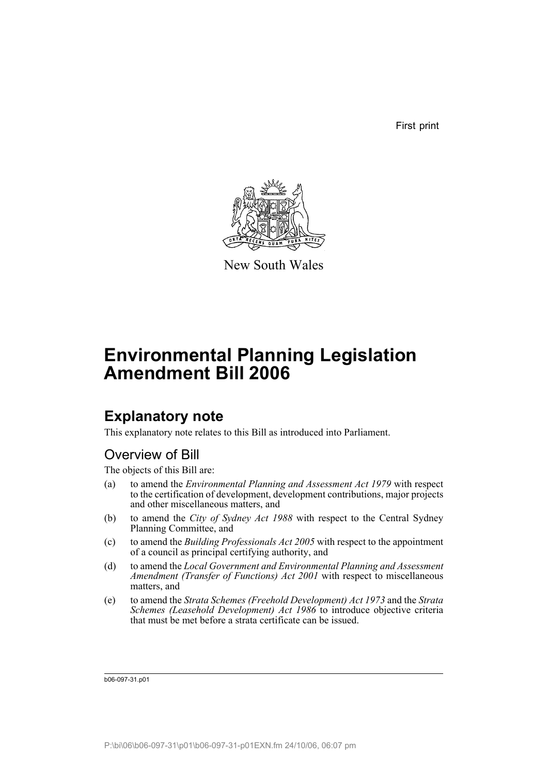First print



New South Wales

# **Environmental Planning Legislation Amendment Bill 2006**

# **Explanatory note**

This explanatory note relates to this Bill as introduced into Parliament.

# Overview of Bill

The objects of this Bill are:

- (a) to amend the *Environmental Planning and Assessment Act 1979* with respect to the certification of development, development contributions, major projects and other miscellaneous matters, and
- (b) to amend the *City of Sydney Act 1988* with respect to the Central Sydney Planning Committee, and
- (c) to amend the *Building Professionals Act 2005* with respect to the appointment of a council as principal certifying authority, and
- (d) to amend the *Local Government and Environmental Planning and Assessment Amendment (Transfer of Functions) Act 2001* with respect to miscellaneous matters, and
- (e) to amend the *Strata Schemes (Freehold Development) Act 1973* and the *Strata Schemes (Leasehold Development) Act 1986* to introduce objective criteria that must be met before a strata certificate can be issued.

b06-097-31.p01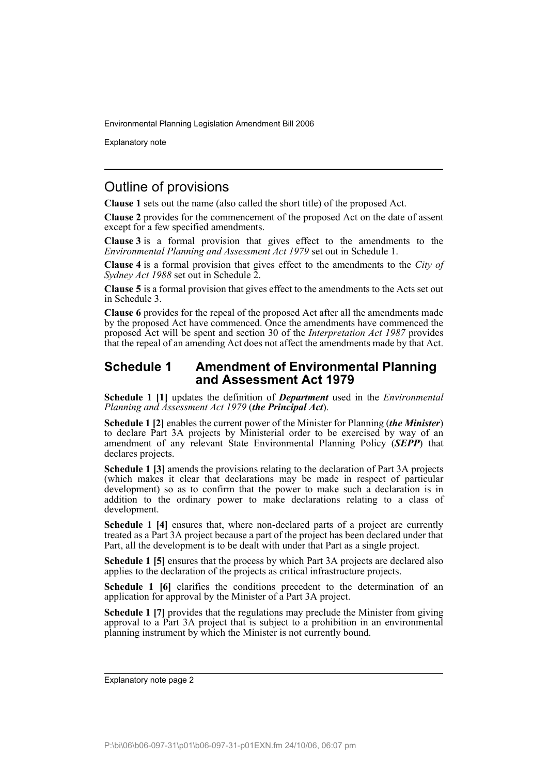Explanatory note

## Outline of provisions

**Clause 1** sets out the name (also called the short title) of the proposed Act.

**Clause 2** provides for the commencement of the proposed Act on the date of assent except for a few specified amendments.

**Clause 3** is a formal provision that gives effect to the amendments to the *Environmental Planning and Assessment Act 1979* set out in Schedule 1.

**Clause 4** is a formal provision that gives effect to the amendments to the *City of Sydney Act 1988* set out in Schedule 2.

**Clause 5** is a formal provision that gives effect to the amendments to the Acts set out in Schedule 3.

**Clause 6** provides for the repeal of the proposed Act after all the amendments made by the proposed Act have commenced. Once the amendments have commenced the proposed Act will be spent and section 30 of the *Interpretation Act 1987* provides that the repeal of an amending Act does not affect the amendments made by that Act.

## **Schedule 1 Amendment of Environmental Planning and Assessment Act 1979**

**Schedule 1 [1]** updates the definition of *Department* used in the *Environmental Planning and Assessment Act 1979* (*the Principal Act*).

**Schedule 1 [2]** enables the current power of the Minister for Planning (*the Minister*) to declare Part 3A projects by Ministerial order to be exercised by way of an amendment of any relevant State Environmental Planning Policy (*SEPP*) that declares projects.

**Schedule 1 [3]** amends the provisions relating to the declaration of Part 3A projects (which makes it clear that declarations may be made in respect of particular development) so as to confirm that the power to make such a declaration is in addition to the ordinary power to make declarations relating to a class of development.

**Schedule 1 [4]** ensures that, where non-declared parts of a project are currently treated as a Part 3A project because a part of the project has been declared under that Part, all the development is to be dealt with under that Part as a single project.

**Schedule 1 [5]** ensures that the process by which Part 3A projects are declared also applies to the declaration of the projects as critical infrastructure projects.

**Schedule 1 [6]** clarifies the conditions precedent to the determination of an application for approval by the Minister of a Part 3A project.

**Schedule 1 [7]** provides that the regulations may preclude the Minister from giving approval to a Part 3A project that is subject to a prohibition in an environmental planning instrument by which the Minister is not currently bound.

Explanatory note page 2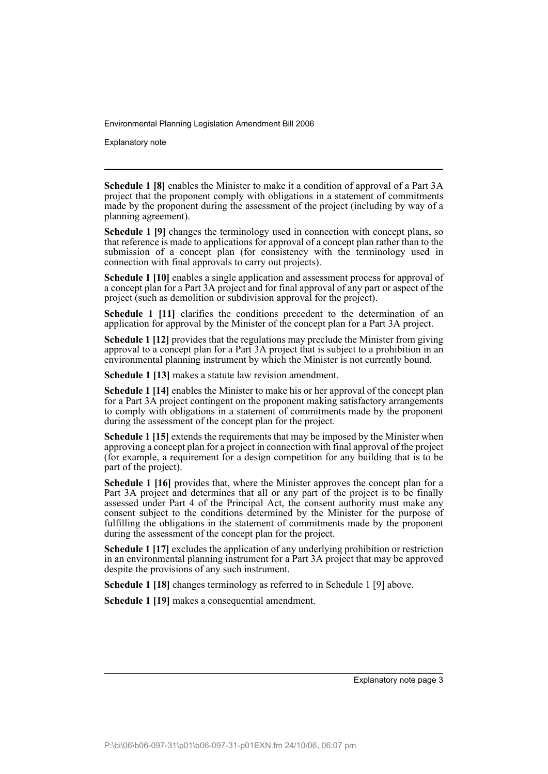Explanatory note

**Schedule 1 [8]** enables the Minister to make it a condition of approval of a Part 3A project that the proponent comply with obligations in a statement of commitments made by the proponent during the assessment of the project (including by way of a planning agreement).

**Schedule 1 [9]** changes the terminology used in connection with concept plans, so that reference is made to applications for approval of a concept plan rather than to the submission of a concept plan (for consistency with the terminology used in connection with final approvals to carry out projects).

**Schedule 1 [10]** enables a single application and assessment process for approval of a concept plan for a Part 3A project and for final approval of any part or aspect of the project (such as demolition or subdivision approval for the project).

**Schedule 1 [11]** clarifies the conditions precedent to the determination of an application for approval by the Minister of the concept plan for a Part 3A project.

**Schedule 1 [12]** provides that the regulations may preclude the Minister from giving approval to a concept plan for a Part 3A project that is subject to a prohibition in an environmental planning instrument by which the Minister is not currently bound.

**Schedule 1 [13]** makes a statute law revision amendment.

**Schedule 1 [14]** enables the Minister to make his or her approval of the concept plan for a Part 3A project contingent on the proponent making satisfactory arrangements to comply with obligations in a statement of commitments made by the proponent during the assessment of the concept plan for the project.

**Schedule 1 [15]** extends the requirements that may be imposed by the Minister when approving a concept plan for a project in connection with final approval of the project (for example, a requirement for a design competition for any building that is to be part of the project).

**Schedule 1 [16]** provides that, where the Minister approves the concept plan for a Part 3A project and determines that all or any part of the project is to be finally assessed under Part 4 of the Principal Act, the consent authority must make any consent subject to the conditions determined by the Minister for the purpose of fulfilling the obligations in the statement of commitments made by the proponent during the assessment of the concept plan for the project.

**Schedule 1 [17]** excludes the application of any underlying prohibition or restriction in an environmental planning instrument for a Part 3A project that may be approved despite the provisions of any such instrument.

**Schedule 1 [18]** changes terminology as referred to in Schedule 1 [9] above.

**Schedule 1 [19]** makes a consequential amendment.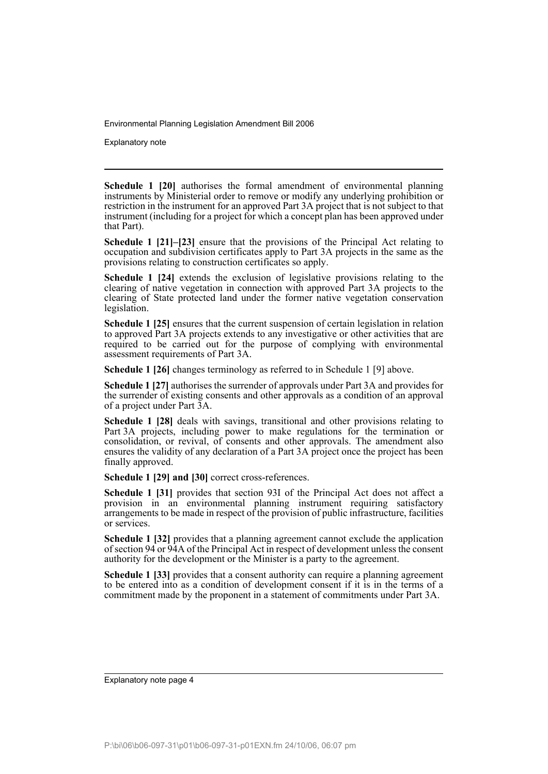Explanatory note

**Schedule 1 [20]** authorises the formal amendment of environmental planning instruments by Ministerial order to remove or modify any underlying prohibition or restriction in the instrument for an approved Part 3A project that is not subject to that instrument (including for a project for which a concept plan has been approved under that Part).

**Schedule 1 [21]–[23]** ensure that the provisions of the Principal Act relating to occupation and subdivision certificates apply to Part 3A projects in the same as the provisions relating to construction certificates so apply.

**Schedule 1 [24]** extends the exclusion of legislative provisions relating to the clearing of native vegetation in connection with approved Part 3A projects to the clearing of State protected land under the former native vegetation conservation legislation.

**Schedule 1 [25]** ensures that the current suspension of certain legislation in relation to approved Part 3A projects extends to any investigative or other activities that are required to be carried out for the purpose of complying with environmental assessment requirements of Part 3A.

**Schedule 1 [26]** changes terminology as referred to in Schedule 1 [9] above.

**Schedule 1 [27]** authorises the surrender of approvals under Part 3A and provides for the surrender of existing consents and other approvals as a condition of an approval of a project under Part 3A.

**Schedule 1 [28]** deals with savings, transitional and other provisions relating to Part 3A projects, including power to make regulations for the termination or consolidation, or revival, of consents and other approvals. The amendment also ensures the validity of any declaration of a Part 3A project once the project has been finally approved.

**Schedule 1 [29] and [30]** correct cross-references.

**Schedule 1 [31]** provides that section 93I of the Principal Act does not affect a provision in an environmental planning instrument requiring satisfactory arrangements to be made in respect of the provision of public infrastructure, facilities or services.

**Schedule 1 [32]** provides that a planning agreement cannot exclude the application of section 94 or 94A of the Principal Act in respect of development unless the consent authority for the development or the Minister is a party to the agreement.

**Schedule 1 [33]** provides that a consent authority can require a planning agreement to be entered into as a condition of development consent if it is in the terms of a commitment made by the proponent in a statement of commitments under Part 3A.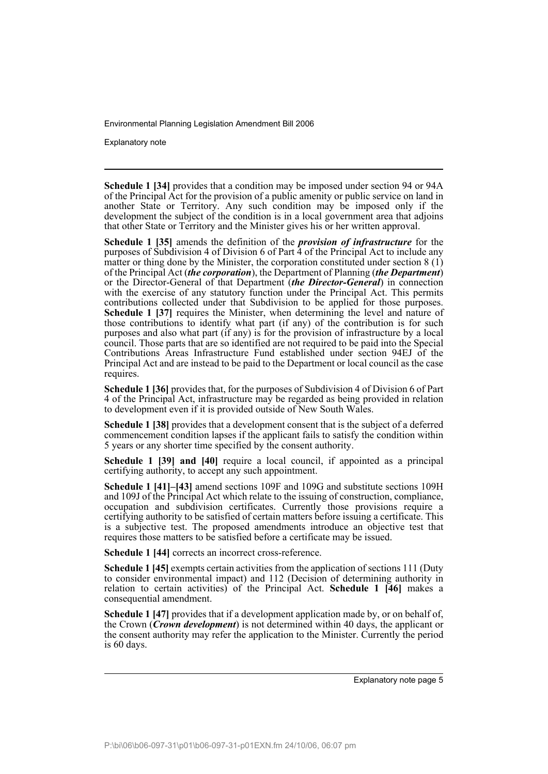Explanatory note

**Schedule 1 [34]** provides that a condition may be imposed under section 94 or 94A of the Principal Act for the provision of a public amenity or public service on land in another State or Territory. Any such condition may be imposed only if the development the subject of the condition is in a local government area that adjoins that other State or Territory and the Minister gives his or her written approval.

**Schedule 1 [35]** amends the definition of the *provision of infrastructure* for the purposes of Subdivision 4 of Division 6 of Part 4 of the Principal Act to include any matter or thing done by the Minister, the corporation constituted under section  $8(1)$ of the Principal Act (*the corporation*), the Department of Planning (*the Department*) or the Director-General of that Department (*the Director-General*) in connection with the exercise of any statutory function under the Principal Act. This permits contributions collected under that Subdivision to be applied for those purposes. **Schedule 1 [37]** requires the Minister, when determining the level and nature of those contributions to identify what part (if any) of the contribution is for such purposes and also what part (if any) is for the provision of infrastructure by a local council. Those parts that are so identified are not required to be paid into the Special Contributions Areas Infrastructure Fund established under section 94EJ of the Principal Act and are instead to be paid to the Department or local council as the case requires.

**Schedule 1 [36]** provides that, for the purposes of Subdivision 4 of Division 6 of Part 4 of the Principal Act, infrastructure may be regarded as being provided in relation to development even if it is provided outside of New South Wales.

**Schedule 1 [38]** provides that a development consent that is the subject of a deferred commencement condition lapses if the applicant fails to satisfy the condition within 5 years or any shorter time specified by the consent authority.

**Schedule 1 [39] and [40]** require a local council, if appointed as a principal certifying authority, to accept any such appointment.

**Schedule 1 [41]–[43]** amend sections 109F and 109G and substitute sections 109H and 109J of the Principal Act which relate to the issuing of construction, compliance, occupation and subdivision certificates. Currently those provisions require a certifying authority to be satisfied of certain matters before issuing a certificate. This is a subjective test. The proposed amendments introduce an objective test that requires those matters to be satisfied before a certificate may be issued.

**Schedule 1 [44]** corrects an incorrect cross-reference.

**Schedule 1 [45]** exempts certain activities from the application of sections 111 (Duty to consider environmental impact) and 112 (Decision of determining authority in relation to certain activities) of the Principal Act. **Schedule 1 [46]** makes a consequential amendment.

**Schedule 1 [47]** provides that if a development application made by, or on behalf of, the Crown (*Crown development*) is not determined within 40 days, the applicant or the consent authority may refer the application to the Minister. Currently the period is 60 days.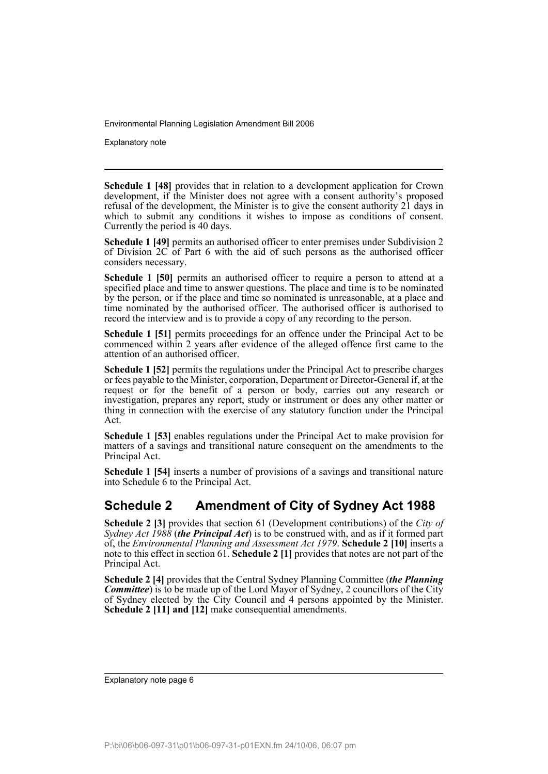Explanatory note

**Schedule 1 [48]** provides that in relation to a development application for Crown development, if the Minister does not agree with a consent authority's proposed refusal of the development, the Minister is to give the consent authority 21 days in which to submit any conditions it wishes to impose as conditions of consent. Currently the period is 40 days.

**Schedule 1 [49]** permits an authorised officer to enter premises under Subdivision 2 of Division 2C of Part 6 with the aid of such persons as the authorised officer considers necessary.

**Schedule 1 [50]** permits an authorised officer to require a person to attend at a specified place and time to answer questions. The place and time is to be nominated by the person, or if the place and time so nominated is unreasonable, at a place and time nominated by the authorised officer. The authorised officer is authorised to record the interview and is to provide a copy of any recording to the person.

**Schedule 1 [51]** permits proceedings for an offence under the Principal Act to be commenced within 2 years after evidence of the alleged offence first came to the attention of an authorised officer.

**Schedule 1 [52]** permits the regulations under the Principal Act to prescribe charges or fees payable to the Minister, corporation, Department or Director-General if, at the request or for the benefit of a person or body, carries out any research or investigation, prepares any report, study or instrument or does any other matter or thing in connection with the exercise of any statutory function under the Principal Act.

**Schedule 1 [53]** enables regulations under the Principal Act to make provision for matters of a savings and transitional nature consequent on the amendments to the Principal Act.

**Schedule 1 [54]** inserts a number of provisions of a savings and transitional nature into Schedule 6 to the Principal Act.

# **Schedule 2 Amendment of City of Sydney Act 1988**

**Schedule 2 [3]** provides that section 61 (Development contributions) of the *City of Sydney Act 1988* (*the Principal Act*) is to be construed with, and as if it formed part of, the *Environmental Planning and Assessment Act 1979*. **Schedule 2 [10]** inserts a note to this effect in section 61. **Schedule 2 [1]** provides that notes are not part of the Principal Act.

**Schedule 2 [4]** provides that the Central Sydney Planning Committee (*the Planning Committee*) is to be made up of the Lord Mayor of Sydney, 2 councillors of the City of Sydney elected by the City Council and 4 persons appointed by the Minister. **Schedule 2 [11] and [12]** make consequential amendments.

Explanatory note page 6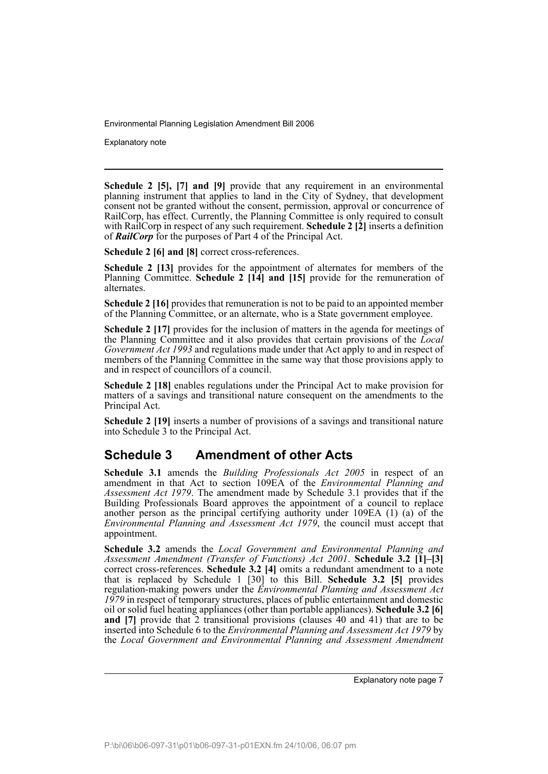Explanatory note

**Schedule 2 [5], [7] and [9]** provide that any requirement in an environmental planning instrument that applies to land in the City of Sydney, that development consent not be granted without the consent, permission, approval or concurrence of RailCorp, has effect. Currently, the Planning Committee is only required to consult with RailCorp in respect of any such requirement. **Schedule 2 [2]** inserts a definition of *RailCorp* for the purposes of Part 4 of the Principal Act.

**Schedule 2 [6] and [8]** correct cross-references.

**Schedule 2 [13]** provides for the appointment of alternates for members of the Planning Committee. **Schedule 2 [14] and [15]** provide for the remuneration of alternates.

**Schedule 2 [16]** provides that remuneration is not to be paid to an appointed member of the Planning Committee, or an alternate, who is a State government employee.

**Schedule 2 [17]** provides for the inclusion of matters in the agenda for meetings of the Planning Committee and it also provides that certain provisions of the *Local Government Act 1993* and regulations made under that Act apply to and in respect of members of the Planning Committee in the same way that those provisions apply to and in respect of councillors of a council.

**Schedule 2 [18]** enables regulations under the Principal Act to make provision for matters of a savings and transitional nature consequent on the amendments to the Principal Act.

**Schedule 2 [19]** inserts a number of provisions of a savings and transitional nature into Schedule 3 to the Principal Act.

# **Schedule 3 Amendment of other Acts**

**Schedule 3.1** amends the *Building Professionals Act 2005* in respect of an amendment in that Act to section 109EA of the *Environmental Planning and Assessment Act 1979*. The amendment made by Schedule 3.1 provides that if the Building Professionals Board approves the appointment of a council to replace another person as the principal certifying authority under 109EA (1) (a) of the *Environmental Planning and Assessment Act 1979*, the council must accept that appointment.

**Schedule 3.2** amends the *Local Government and Environmental Planning and Assessment Amendment (Transfer of Functions) Act 2001*. **Schedule 3.2 [1]–[3]** correct cross-references. **Schedule 3.2 [4]** omits a redundant amendment to a note that is replaced by Schedule 1 [30] to this Bill. **Schedule 3.2 [5]** provides regulation-making powers under the *Environmental Planning and Assessment Act 1979* in respect of temporary structures, places of public entertainment and domestic oil or solid fuel heating appliances (other than portable appliances). **Schedule 3.2 [6] and [7]** provide that  $\overline{2}$  transitional provisions (clauses  $\overline{40}$  and  $\overline{41}$ ) that are to be inserted into Schedule 6 to the *Environmental Planning and Assessment Act 1979* by the *Local Government and Environmental Planning and Assessment Amendment*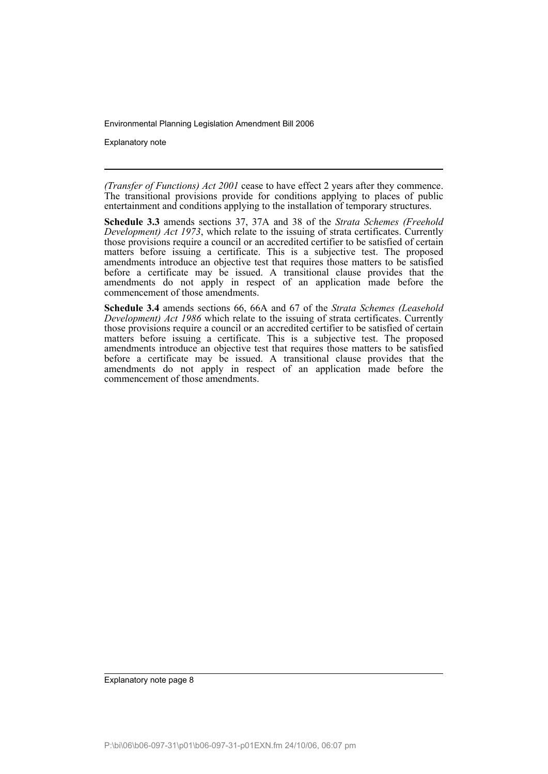Explanatory note

*(Transfer of Functions) Act 2001* cease to have effect 2 years after they commence. The transitional provisions provide for conditions applying to places of public entertainment and conditions applying to the installation of temporary structures.

**Schedule 3.3** amends sections 37, 37A and 38 of the *Strata Schemes (Freehold Development) Act 1973*, which relate to the issuing of strata certificates. Currently those provisions require a council or an accredited certifier to be satisfied of certain matters before issuing a certificate. This is a subjective test. The proposed amendments introduce an objective test that requires those matters to be satisfied before a certificate may be issued. A transitional clause provides that the amendments do not apply in respect of an application made before the commencement of those amendments.

**Schedule 3.4** amends sections 66, 66A and 67 of the *Strata Schemes (Leasehold Development) Act 1986* which relate to the issuing of strata certificates. Currently those provisions require a council or an accredited certifier to be satisfied of certain matters before issuing a certificate. This is a subjective test. The proposed amendments introduce an objective test that requires those matters to be satisfied before a certificate may be issued. A transitional clause provides that the amendments do not apply in respect of an application made before the commencement of those amendments.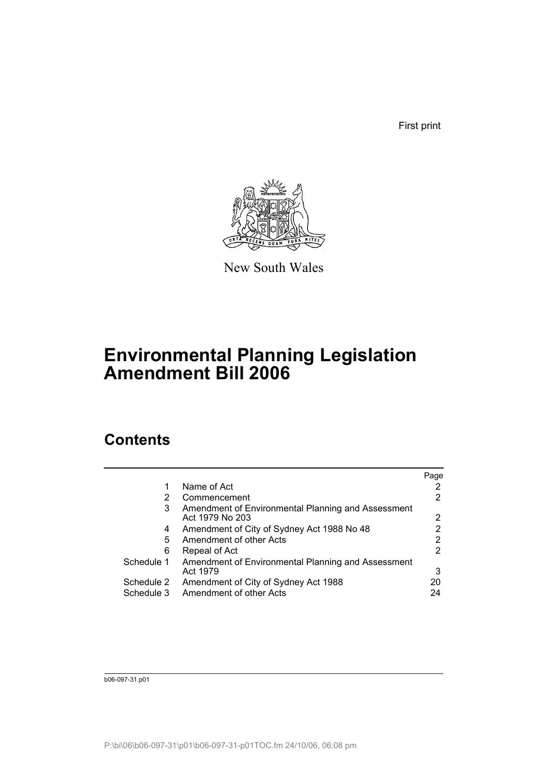First print



New South Wales

# **Environmental Planning Legislation Amendment Bill 2006**

# **Contents**

|            |                                                                       | Page |
|------------|-----------------------------------------------------------------------|------|
| 1          | Name of Act                                                           |      |
| 2          | Commencement                                                          |      |
| 3          | Amendment of Environmental Planning and Assessment<br>Act 1979 No 203 | 2    |
| 4          | Amendment of City of Sydney Act 1988 No 48                            |      |
| 5          | Amendment of other Acts                                               | 2    |
| 6          | Repeal of Act                                                         | 2    |
| Schedule 1 | Amendment of Environmental Planning and Assessment<br>Act 1979        | 3    |
| Schedule 2 | Amendment of City of Sydney Act 1988                                  | 20   |
| Schedule 3 | Amendment of other Acts                                               | 24   |

b06-097-31.p01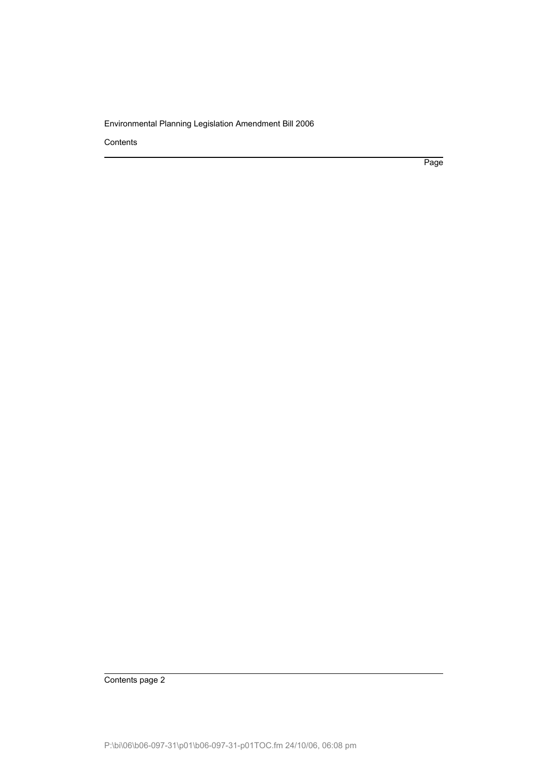Contents

Page

Contents page 2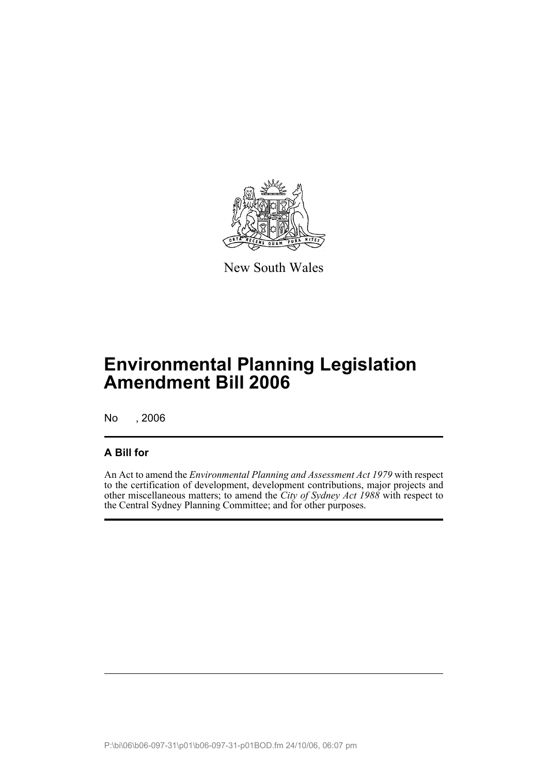

New South Wales

# **Environmental Planning Legislation Amendment Bill 2006**

No , 2006

## **A Bill for**

An Act to amend the *Environmental Planning and Assessment Act 1979* with respect to the certification of development, development contributions, major projects and other miscellaneous matters; to amend the *City of Sydney Act 1988* with respect to the Central Sydney Planning Committee; and for other purposes.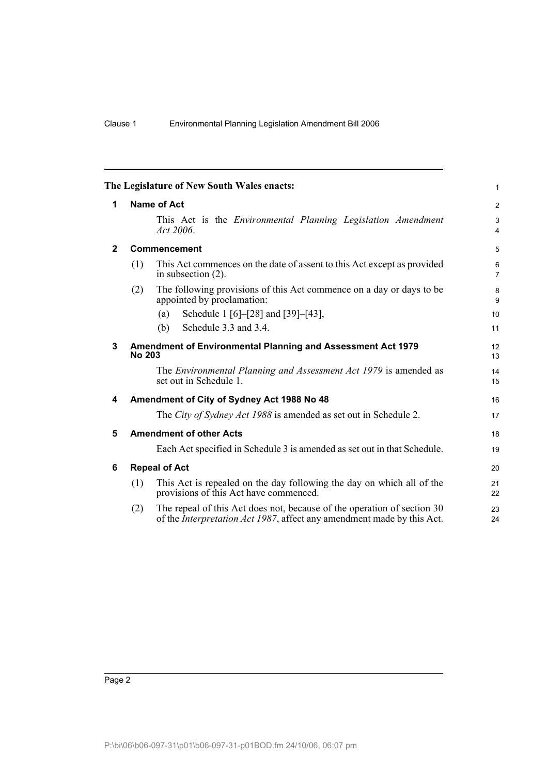<span id="page-11-5"></span><span id="page-11-4"></span><span id="page-11-3"></span><span id="page-11-2"></span><span id="page-11-1"></span><span id="page-11-0"></span>

|              |               | The Legislature of New South Wales enacts:                                                                                                                | $\mathbf{1}$        |
|--------------|---------------|-----------------------------------------------------------------------------------------------------------------------------------------------------------|---------------------|
| 1            |               | <b>Name of Act</b>                                                                                                                                        | $\mathbf{2}$        |
|              |               | This Act is the <i>Environmental Planning Legislation Amendment</i><br>Act 2006.                                                                          | 3<br>$\overline{4}$ |
| $\mathbf{2}$ |               | <b>Commencement</b>                                                                                                                                       | 5                   |
|              | (1)           | This Act commences on the date of assent to this Act except as provided<br>in subsection $(2)$ .                                                          | 6<br>$\overline{7}$ |
|              | (2)           | The following provisions of this Act commence on a day or days to be<br>appointed by proclamation:                                                        | 8<br>9              |
|              |               | Schedule 1 [6]–[28] and [39]–[43],<br>(a)                                                                                                                 | 10                  |
|              |               | Schedule 3.3 and 3.4.<br>(b)                                                                                                                              | 11                  |
| 3            | <b>No 203</b> | Amendment of Environmental Planning and Assessment Act 1979                                                                                               | 12<br>13            |
|              |               | The <i>Environmental Planning and Assessment Act 1979</i> is amended as<br>set out in Schedule 1.                                                         | 14<br>15            |
| 4            |               | Amendment of City of Sydney Act 1988 No 48                                                                                                                | 16                  |
|              |               | The City of Sydney Act 1988 is amended as set out in Schedule 2.                                                                                          | 17                  |
| 5            |               | <b>Amendment of other Acts</b>                                                                                                                            | 18                  |
|              |               | Each Act specified in Schedule 3 is amended as set out in that Schedule.                                                                                  | 19                  |
| 6            |               | <b>Repeal of Act</b>                                                                                                                                      | 20                  |
|              | (1)           | This Act is repealed on the day following the day on which all of the<br>provisions of this Act have commenced.                                           | 21<br>22            |
|              | (2)           | The repeal of this Act does not, because of the operation of section 30<br>of the <i>Interpretation Act 1987</i> , affect any amendment made by this Act. | 23<br>24            |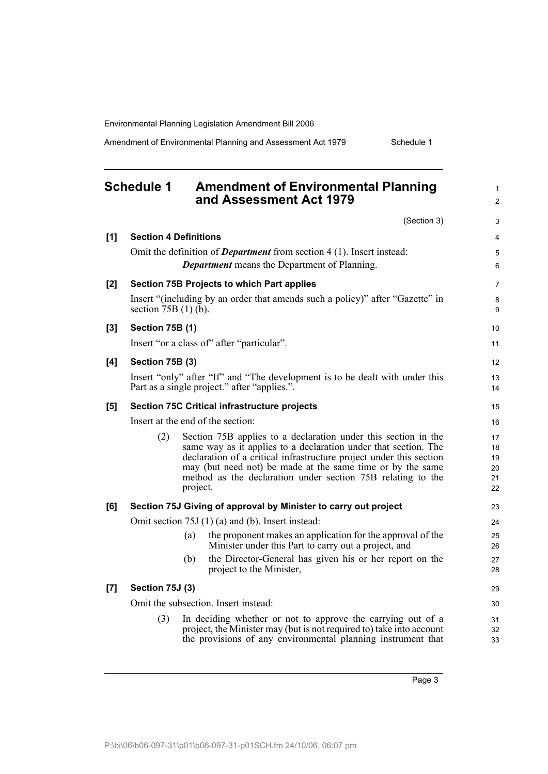Amendment of Environmental Planning and Assessment Act 1979 Schedule 1

<span id="page-12-0"></span>

|     | <b>Schedule 1</b><br><b>Amendment of Environmental Planning</b><br>and Assessment Act 1979 |                                                                                                                                      |          |  |  |
|-----|--------------------------------------------------------------------------------------------|--------------------------------------------------------------------------------------------------------------------------------------|----------|--|--|
|     |                                                                                            | (Section 3)                                                                                                                          | 3        |  |  |
| [1] |                                                                                            | <b>Section 4 Definitions</b>                                                                                                         | 4        |  |  |
|     |                                                                                            | Omit the definition of <i>Department</i> from section $4(1)$ . Insert instead:                                                       | 5        |  |  |
|     |                                                                                            | <b>Department</b> means the Department of Planning.                                                                                  | 6        |  |  |
| [2] |                                                                                            | Section 75B Projects to which Part applies                                                                                           | 7        |  |  |
|     | section $75B(1)$ (b).                                                                      | Insert "(including by an order that amends such a policy)" after "Gazette" in                                                        | 8<br>9   |  |  |
| [3] | <b>Section 75B (1)</b>                                                                     |                                                                                                                                      | 10       |  |  |
|     |                                                                                            | Insert "or a class of" after "particular".                                                                                           | 11       |  |  |
| [4] | Section 75B (3)                                                                            |                                                                                                                                      | 12       |  |  |
|     |                                                                                            | Insert "only" after "If" and "The development is to be dealt with under this<br>Part as a single project." after "applies.".         | 13<br>14 |  |  |
| [5] | <b>Section 75C Critical infrastructure projects</b>                                        |                                                                                                                                      |          |  |  |
|     |                                                                                            | Insert at the end of the section:                                                                                                    | 16       |  |  |
|     | (2)                                                                                        | Section 75B applies to a declaration under this section in the<br>same way as it applies to a declaration under that section. The    | 17       |  |  |
|     |                                                                                            | declaration of a critical infrastructure project under this section                                                                  | 18<br>19 |  |  |
|     |                                                                                            | may (but need not) be made at the same time or by the same<br>method as the declaration under section 75B relating to the            | 20<br>21 |  |  |
|     |                                                                                            | project.                                                                                                                             | 22       |  |  |
| [6] |                                                                                            | Section 75J Giving of approval by Minister to carry out project                                                                      | 23       |  |  |
|     |                                                                                            | Omit section 75J (1) (a) and (b). Insert instead:                                                                                    | 24       |  |  |
|     |                                                                                            | the proponent makes an application for the approval of the<br>(a)<br>Minister under this Part to carry out a project, and            | 25<br>26 |  |  |
|     |                                                                                            | the Director-General has given his or her report on the<br>(b)<br>project to the Minister,                                           | 27<br>28 |  |  |
| [7] | Section 75J (3)                                                                            |                                                                                                                                      | 29       |  |  |
|     |                                                                                            | Omit the subsection. Insert instead:                                                                                                 | 30       |  |  |
|     | (3)                                                                                        | In deciding whether or not to approve the carrying out of a                                                                          | 31       |  |  |
|     |                                                                                            | project, the Minister may (but is not required to) take into account<br>the provisions of any environmental planning instrument that | 32<br>33 |  |  |
|     |                                                                                            |                                                                                                                                      |          |  |  |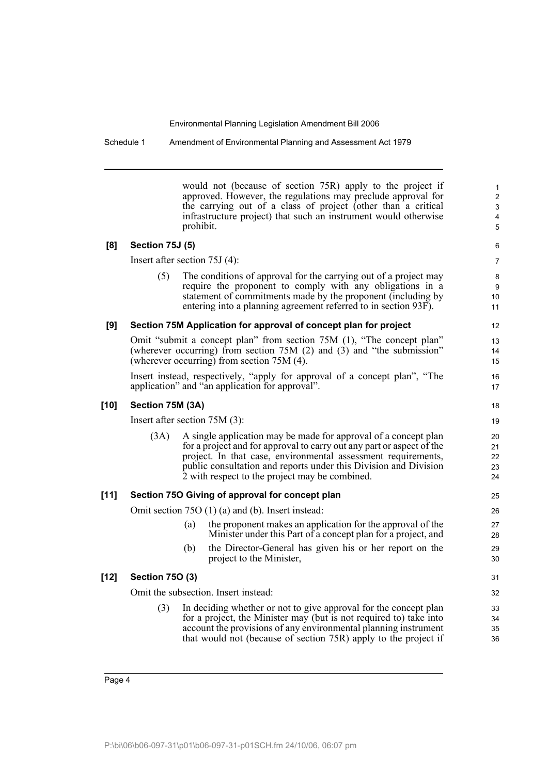Schedule 1 Amendment of Environmental Planning and Assessment Act 1979

would not (because of section 75R) apply to the project if approved. However, the regulations may preclude approval for the carrying out of a class of project (other than a critical infrastructure project) that such an instrument would otherwise prohibit.

#### **[8] Section 75J (5)**

Insert after section 75J (4):

(5) The conditions of approval for the carrying out of a project may require the proponent to comply with any obligations in a statement of commitments made by the proponent (including by entering into a planning agreement referred to in section 93F).

#### **[9] Section 75M Application for approval of concept plan for project**

Omit "submit a concept plan" from section 75M (1), "The concept plan" (wherever occurring) from section 75M (2) and (3) and "the submission" (wherever occurring) from section 75M (4).

Insert instead, respectively, "apply for approval of a concept plan", "The application" and "an application for approval".

### **[10] Section 75M (3A)**

Insert after section 75M (3):

(3A) A single application may be made for approval of a concept plan for a project and for approval to carry out any part or aspect of the project. In that case, environmental assessment requirements, public consultation and reports under this Division and Division 2 with respect to the project may be combined.

#### **[11] Section 75O Giving of approval for concept plan**

Omit section 75O (1) (a) and (b). Insert instead:

- (a) the proponent makes an application for the approval of the Minister under this Part of a concept plan for a project, and
- (b) the Director-General has given his or her report on the project to the Minister,

#### **[12] Section 75O (3)**

Omit the subsection. Insert instead:

In deciding whether or not to give approval for the concept plan for a project, the Minister may (but is not required to) take into account the provisions of any environmental planning instrument that would not (because of section 75R) apply to the project if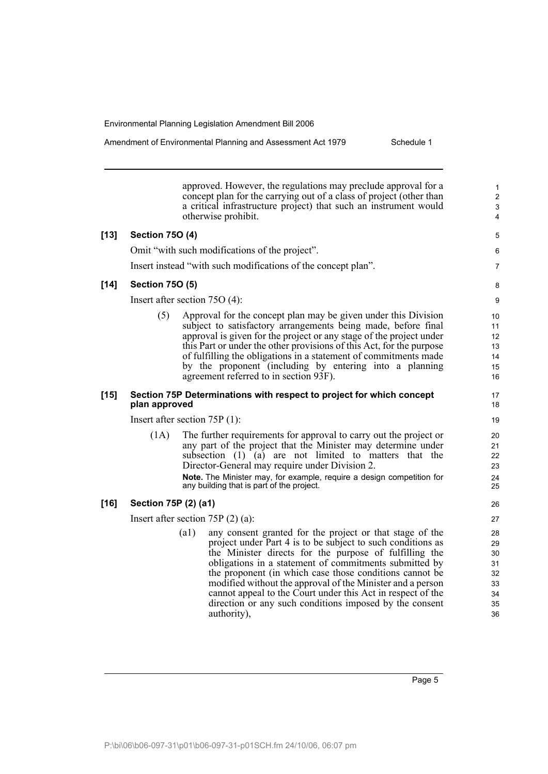Amendment of Environmental Planning and Assessment Act 1979 Schedule 1

approved. However, the regulations may preclude approval for a concept plan for the carrying out of a class of project (other than a critical infrastructure project) that such an instrument would otherwise prohibit.

### **[13] Section 75O (4)**

Omit "with such modifications of the project".

Insert instead "with such modifications of the concept plan".

## 7 8

5 6

## **[14] Section 75O (5)**

Insert after section 75O (4):

(5) Approval for the concept plan may be given under this Division subject to satisfactory arrangements being made, before final approval is given for the project or any stage of the project under this Part or under the other provisions of this Act, for the purpose of fulfilling the obligations in a statement of commitments made by the proponent (including by entering into a planning agreement referred to in section 93F).

### **[15] Section 75P Determinations with respect to project for which concept plan approved**

Insert after section 75P (1):

(1A) The further requirements for approval to carry out the project or any part of the project that the Minister may determine under subsection  $(1)$   $(a)$  are not limited to matters that the Director-General may require under Division 2.

**Note.** The Minister may, for example, require a design competition for any building that is part of the project.

## **[16] Section 75P (2) (a1)**

Insert after section 75P (2) (a):

(a1) any consent granted for the project or that stage of the project under Part 4 is to be subject to such conditions as the Minister directs for the purpose of fulfilling the obligations in a statement of commitments submitted by the proponent (in which case those conditions cannot be modified without the approval of the Minister and a person cannot appeal to the Court under this Act in respect of the direction or any such conditions imposed by the consent authority),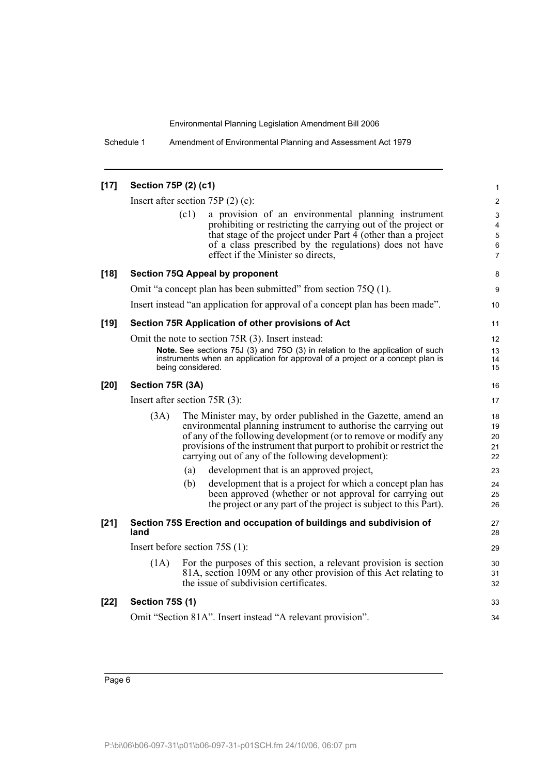Schedule 1 Amendment of Environmental Planning and Assessment Act 1979

#### **[17] Section 75P (2) (c1)** Insert after section 75P (2) (c): (c1) a provision of an environmental planning instrument prohibiting or restricting the carrying out of the project or that stage of the project under Part 4 (other than a project of a class prescribed by the regulations) does not have effect if the Minister so directs, **[18] Section 75Q Appeal by proponent** Omit "a concept plan has been submitted" from section 75Q (1). Insert instead "an application for approval of a concept plan has been made". **[19] Section 75R Application of other provisions of Act** Omit the note to section 75R (3). Insert instead: **Note.** See sections 75J (3) and 75O (3) in relation to the application of such instruments when an application for approval of a project or a concept plan is being considered. **[20] Section 75R (3A)** Insert after section 75R (3): (3A) The Minister may, by order published in the Gazette, amend an environmental planning instrument to authorise the carrying out of any of the following development (or to remove or modify any provisions of the instrument that purport to prohibit or restrict the carrying out of any of the following development): (a) development that is an approved project, (b) development that is a project for which a concept plan has been approved (whether or not approval for carrying out the project or any part of the project is subject to this Part). **[21] Section 75S Erection and occupation of buildings and subdivision of land** Insert before section 75S (1): (1A) For the purposes of this section, a relevant provision is section 81A, section 109M or any other provision of this Act relating to the issue of subdivision certificates. **[22] Section 75S (1)**  Omit "Section 81A". Insert instead "A relevant provision". 1 2 3 4 5 6 7 8 9 10 11 12 13 14 15 16 17 18 19 20 21 22  $23$ 24 25 26 27 28 29 30 31 32 33 34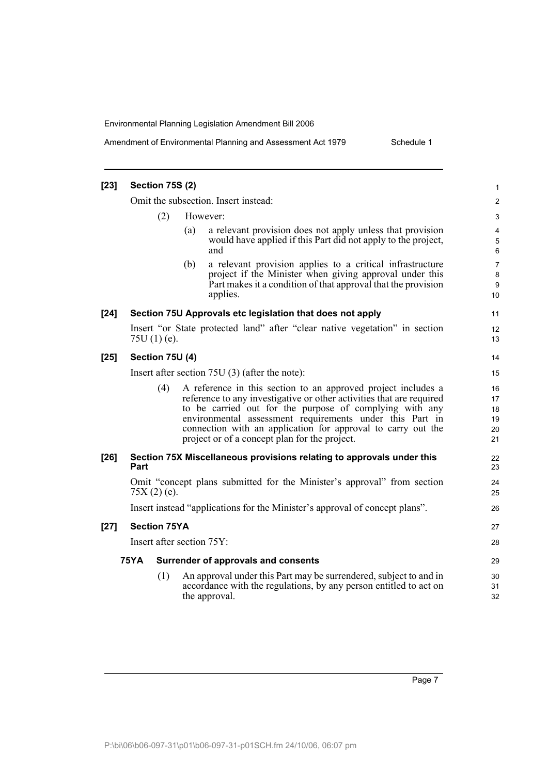Amendment of Environmental Planning and Assessment Act 1979 Schedule 1

| $[23]$ |                                                                             | <b>Section 75S (2)</b> |     |                                                                                                                                                                                                                                                                                                                                                                               | $\mathbf{1}$                     |  |
|--------|-----------------------------------------------------------------------------|------------------------|-----|-------------------------------------------------------------------------------------------------------------------------------------------------------------------------------------------------------------------------------------------------------------------------------------------------------------------------------------------------------------------------------|----------------------------------|--|
|        |                                                                             |                        |     | Omit the subsection. Insert instead:                                                                                                                                                                                                                                                                                                                                          | $\overline{\mathbf{c}}$          |  |
|        |                                                                             | (2)                    |     | However:                                                                                                                                                                                                                                                                                                                                                                      | $\mathsf 3$                      |  |
|        |                                                                             |                        | (a) | a relevant provision does not apply unless that provision<br>would have applied if this Part did not apply to the project,<br>and                                                                                                                                                                                                                                             | 4<br>5<br>$\,6$                  |  |
|        |                                                                             |                        | (b) | a relevant provision applies to a critical infrastructure<br>project if the Minister when giving approval under this<br>Part makes it a condition of that approval that the provision<br>applies.                                                                                                                                                                             | $\overline{7}$<br>8<br>9<br>10   |  |
| $[24]$ |                                                                             |                        |     | Section 75U Approvals etc legislation that does not apply                                                                                                                                                                                                                                                                                                                     | 11                               |  |
|        |                                                                             | $75U(1)$ (e).          |     | Insert "or State protected land" after "clear native vegetation" in section                                                                                                                                                                                                                                                                                                   | 12<br>13                         |  |
| $[25]$ | Section 75U (4)                                                             |                        |     |                                                                                                                                                                                                                                                                                                                                                                               |                                  |  |
|        | Insert after section $75U(3)$ (after the note):                             |                        |     |                                                                                                                                                                                                                                                                                                                                                                               |                                  |  |
|        |                                                                             | (4)                    |     | A reference in this section to an approved project includes a<br>reference to any investigative or other activities that are required<br>to be carried out for the purpose of complying with any<br>environmental assessment requirements under this Part in<br>connection with an application for approval to carry out the<br>project or of a concept plan for the project. | 16<br>17<br>18<br>19<br>20<br>21 |  |
| $[26]$ | Part                                                                        |                        |     | Section 75X Miscellaneous provisions relating to approvals under this                                                                                                                                                                                                                                                                                                         | 22<br>23                         |  |
|        |                                                                             | $75X(2)$ (e).          |     | Omit "concept plans submitted for the Minister's approval" from section                                                                                                                                                                                                                                                                                                       | 24<br>25                         |  |
|        | Insert instead "applications for the Minister's approval of concept plans". |                        |     |                                                                                                                                                                                                                                                                                                                                                                               |                                  |  |
| $[27]$ | <b>Section 75YA</b>                                                         |                        |     |                                                                                                                                                                                                                                                                                                                                                                               |                                  |  |
|        |                                                                             |                        |     | Insert after section 75Y:                                                                                                                                                                                                                                                                                                                                                     | 28                               |  |
|        | <b>75YA</b>                                                                 |                        |     | Surrender of approvals and consents                                                                                                                                                                                                                                                                                                                                           | 29                               |  |
|        |                                                                             | (1)                    |     | An approval under this Part may be surrendered, subject to and in<br>accordance with the regulations, by any person entitled to act on<br>the approval.                                                                                                                                                                                                                       | 30<br>31<br>32                   |  |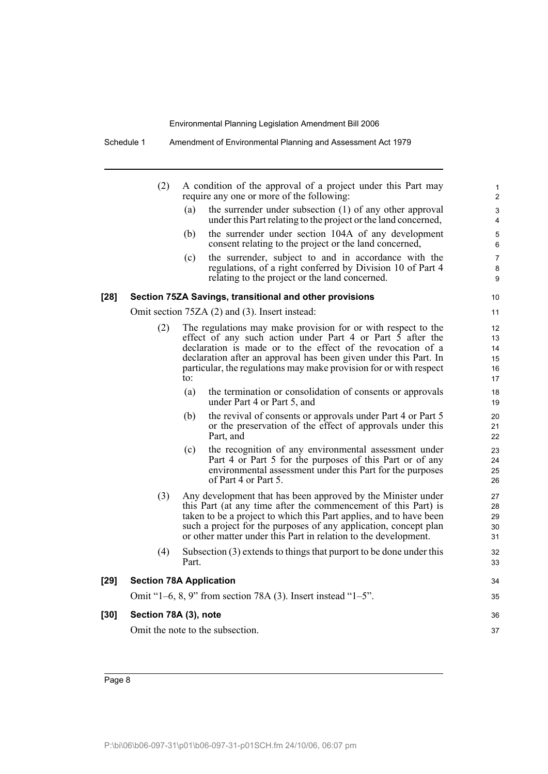| (2) | A condition of the approval of a project under this Part may |
|-----|--------------------------------------------------------------|
|     | require any one or more of the following:                    |

(a) the surrender under subsection (1) of any other approval under this Part relating to the project or the land concerned,

34 35

36 37

- (b) the surrender under section 104A of any development consent relating to the project or the land concerned,
- (c) the surrender, subject to and in accordance with the regulations, of a right conferred by Division 10 of Part 4 relating to the project or the land concerned.

### **[28] Section 75ZA Savings, transitional and other provisions**

Omit section 75ZA (2) and (3). Insert instead:

- (2) The regulations may make provision for or with respect to the effect of any such action under Part 4 or Part  $\bar{5}$  after the declaration is made or to the effect of the revocation of a declaration after an approval has been given under this Part. In particular, the regulations may make provision for or with respect to:
	- (a) the termination or consolidation of consents or approvals under Part 4 or Part 5, and
	- (b) the revival of consents or approvals under Part 4 or Part 5 or the preservation of the effect of approvals under this Part, and
	- (c) the recognition of any environmental assessment under Part 4 or Part 5 for the purposes of this Part or of any environmental assessment under this Part for the purposes of Part 4 or Part 5.
- (3) Any development that has been approved by the Minister under this Part (at any time after the commencement of this Part) is taken to be a project to which this Part applies, and to have been such a project for the purposes of any application, concept plan or other matter under this Part in relation to the development.
- (4) Subsection (3) extends to things that purport to be done under this Part.

## **[29] Section 78A Application**

Omit "1–6, 8, 9" from section 78A (3). Insert instead "1–5".

## **[30] Section 78A (3), note**

Omit the note to the subsection.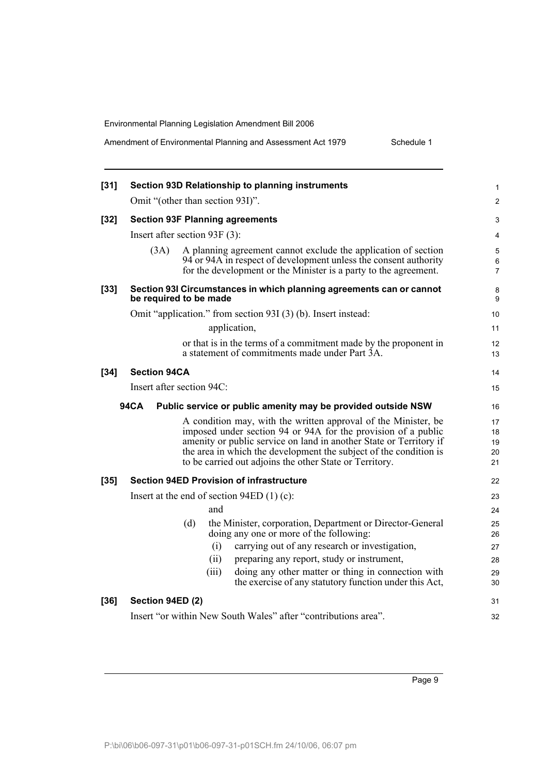Amendment of Environmental Planning and Assessment Act 1979 Schedule 1

| $[31]$ |                                             |              | Section 93D Relationship to planning instruments                                                                                                                                                                                                                                                                                      | $\mathbf{1}$               |
|--------|---------------------------------------------|--------------|---------------------------------------------------------------------------------------------------------------------------------------------------------------------------------------------------------------------------------------------------------------------------------------------------------------------------------------|----------------------------|
|        | Omit "(other than section 931)".            |              |                                                                                                                                                                                                                                                                                                                                       | 2                          |
| $[32]$ | <b>Section 93F Planning agreements</b>      |              |                                                                                                                                                                                                                                                                                                                                       | 3                          |
|        | Insert after section 93F (3):               |              |                                                                                                                                                                                                                                                                                                                                       | 4                          |
|        | (3A)                                        |              | A planning agreement cannot exclude the application of section<br>94 or 94A in respect of development unless the consent authority<br>for the development or the Minister is a party to the agreement.                                                                                                                                | 5<br>6<br>$\overline{7}$   |
| $[33]$ | be required to be made                      |              | Section 93I Circumstances in which planning agreements can or cannot                                                                                                                                                                                                                                                                  | 8<br>9                     |
|        |                                             |              | Omit "application." from section 93I (3) (b). Insert instead:                                                                                                                                                                                                                                                                         | 10                         |
|        |                                             | application, |                                                                                                                                                                                                                                                                                                                                       | 11                         |
|        |                                             |              | or that is in the terms of a commitment made by the proponent in<br>a statement of commitments made under Part 3A.                                                                                                                                                                                                                    | 12<br>13                   |
| $[34]$ | <b>Section 94CA</b>                         |              |                                                                                                                                                                                                                                                                                                                                       | 14                         |
|        | Insert after section 94C:                   |              |                                                                                                                                                                                                                                                                                                                                       | 15                         |
|        | <b>94CA</b>                                 |              | Public service or public amenity may be provided outside NSW                                                                                                                                                                                                                                                                          | 16                         |
|        |                                             |              | A condition may, with the written approval of the Minister, be<br>imposed under section 94 or 94A for the provision of a public<br>amenity or public service on land in another State or Territory if<br>the area in which the development the subject of the condition is<br>to be carried out adjoins the other State or Territory. | 17<br>18<br>19<br>20<br>21 |
| $[35]$ |                                             |              | <b>Section 94ED Provision of infrastructure</b>                                                                                                                                                                                                                                                                                       | 22                         |
|        | Insert at the end of section $94ED(1)(c)$ : |              |                                                                                                                                                                                                                                                                                                                                       | 23                         |
|        |                                             | and          |                                                                                                                                                                                                                                                                                                                                       | 24                         |
|        | (d)                                         |              | the Minister, corporation, Department or Director-General<br>doing any one or more of the following:                                                                                                                                                                                                                                  | 25<br>26                   |
|        |                                             | (i)          | carrying out of any research or investigation,                                                                                                                                                                                                                                                                                        | 27                         |
|        |                                             | (ii)         | preparing any report, study or instrument,                                                                                                                                                                                                                                                                                            | 28                         |
|        |                                             | (iii)        | doing any other matter or thing in connection with<br>the exercise of any statutory function under this Act,                                                                                                                                                                                                                          | 29<br>30                   |
|        |                                             |              |                                                                                                                                                                                                                                                                                                                                       |                            |
| $[36]$ | Section 94ED (2)                            |              |                                                                                                                                                                                                                                                                                                                                       | 31                         |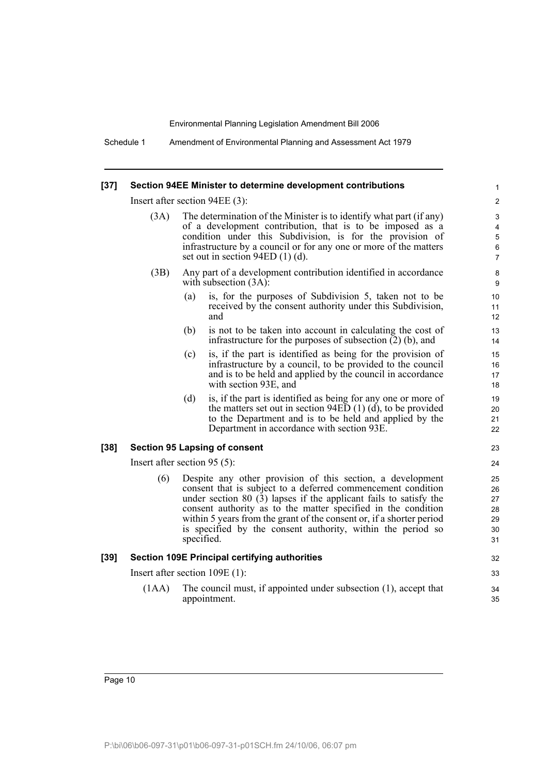Schedule 1 Amendment of Environmental Planning and Assessment Act 1979

## **[37] Section 94EE Minister to determine development contributions**

Insert after section 94EE (3):

|        | (3A)  | The determination of the Minister is to identify what part (if any)<br>of a development contribution, that is to be imposed as a<br>condition under this Subdivision, is for the provision of<br>infrastructure by a council or for any one or more of the matters<br>set out in section $94ED(1)(d)$ .                                                                                                                 | 3<br>$\overline{\mathbf{4}}$<br>$\mathbf 5$<br>$\,6\,$<br>$\overline{7}$ |
|--------|-------|-------------------------------------------------------------------------------------------------------------------------------------------------------------------------------------------------------------------------------------------------------------------------------------------------------------------------------------------------------------------------------------------------------------------------|--------------------------------------------------------------------------|
|        | (3B)  | Any part of a development contribution identified in accordance<br>with subsection $(3A)$ :                                                                                                                                                                                                                                                                                                                             | 8<br>$\boldsymbol{9}$                                                    |
|        |       | is, for the purposes of Subdivision 5, taken not to be<br>(a)<br>received by the consent authority under this Subdivision,<br>and                                                                                                                                                                                                                                                                                       | 10<br>11<br>12                                                           |
|        |       | is not to be taken into account in calculating the cost of<br>(b)<br>infrastructure for the purposes of subsection $(2)$ (b), and                                                                                                                                                                                                                                                                                       | 13<br>14                                                                 |
|        |       | is, if the part is identified as being for the provision of<br>(c)<br>infrastructure by a council, to be provided to the council<br>and is to be held and applied by the council in accordance<br>with section 93E, and                                                                                                                                                                                                 | 15<br>16<br>17<br>18                                                     |
|        |       | is, if the part is identified as being for any one or more of<br>(d)<br>the matters set out in section $94ED(1)$ (d), to be provided<br>to the Department and is to be held and applied by the<br>Department in accordance with section 93E.                                                                                                                                                                            | 19<br>20<br>21<br>22                                                     |
| $[38]$ |       | <b>Section 95 Lapsing of consent</b>                                                                                                                                                                                                                                                                                                                                                                                    | 23                                                                       |
|        |       | Insert after section $95(5)$ :                                                                                                                                                                                                                                                                                                                                                                                          | 24                                                                       |
|        | (6)   | Despite any other provision of this section, a development<br>consent that is subject to a deferred commencement condition<br>under section 80 $(3)$ lapses if the applicant fails to satisfy the<br>consent authority as to the matter specified in the condition<br>within 5 years from the grant of the consent or, if a shorter period<br>is specified by the consent authority, within the period so<br>specified. | 25<br>26<br>27<br>28<br>29<br>30<br>31                                   |
| $[39]$ |       | <b>Section 109E Principal certifying authorities</b>                                                                                                                                                                                                                                                                                                                                                                    | 32                                                                       |
|        |       | Insert after section $109E(1)$ :                                                                                                                                                                                                                                                                                                                                                                                        | 33                                                                       |
|        | (1AA) | The council must, if appointed under subsection (1), accept that<br>appointment.                                                                                                                                                                                                                                                                                                                                        | 34<br>35                                                                 |

1 2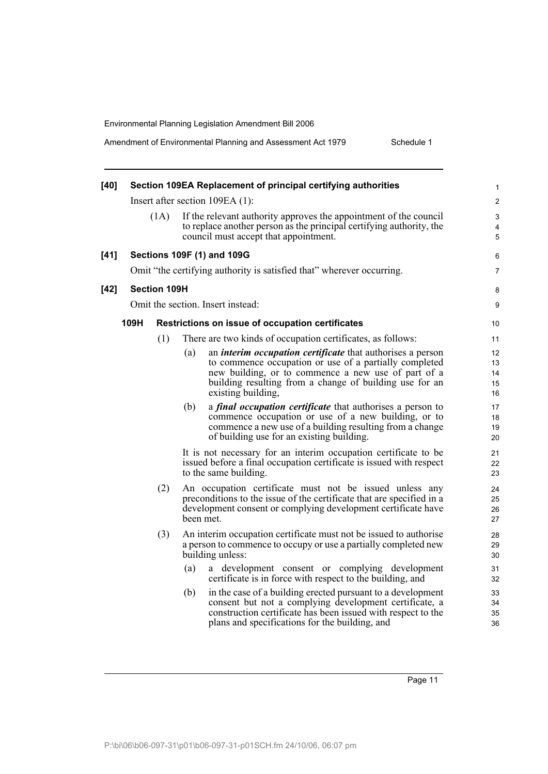| Amendment of Environmental Planning and Assessment Act 1979 | Schedule 1 |
|-------------------------------------------------------------|------------|
|-------------------------------------------------------------|------------|

| [40]   |      |                     |     | Section 109EA Replacement of principal certifying authorities                                                                                                                                                                                                       | 1                          |
|--------|------|---------------------|-----|---------------------------------------------------------------------------------------------------------------------------------------------------------------------------------------------------------------------------------------------------------------------|----------------------------|
|        |      |                     |     | Insert after section 109EA (1):                                                                                                                                                                                                                                     | $\overline{2}$             |
|        |      | (1A)                |     | If the relevant authority approves the appointment of the council<br>to replace another person as the principal certifying authority, the<br>council must accept that appointment.                                                                                  | 3<br>4<br>5                |
| $[41]$ |      |                     |     | <b>Sections 109F (1) and 109G</b>                                                                                                                                                                                                                                   | 6                          |
|        |      |                     |     | Omit "the certifying authority is satisfied that" wherever occurring.                                                                                                                                                                                               | 7                          |
| $[42]$ |      | <b>Section 109H</b> |     |                                                                                                                                                                                                                                                                     | 8                          |
|        |      |                     |     | Omit the section. Insert instead:                                                                                                                                                                                                                                   | 9                          |
|        | 109H |                     |     | Restrictions on issue of occupation certificates                                                                                                                                                                                                                    | 10                         |
|        |      | (1)                 |     | There are two kinds of occupation certificates, as follows:                                                                                                                                                                                                         | 11                         |
|        |      |                     | (a) | an <i>interim occupation certificate</i> that authorises a person<br>to commence occupation or use of a partially completed<br>new building, or to commence a new use of part of a<br>building resulting from a change of building use for an<br>existing building, | 12<br>13<br>14<br>15<br>16 |
|        |      |                     | (b) | a <i>final occupation certificate</i> that authorises a person to<br>commence occupation or use of a new building, or to<br>commence a new use of a building resulting from a change<br>of building use for an existing building.                                   | 17<br>18<br>19<br>20       |
|        |      |                     |     | It is not necessary for an interim occupation certificate to be<br>issued before a final occupation certificate is issued with respect<br>to the same building.                                                                                                     | 21<br>22<br>23             |
|        |      | (2)                 |     | An occupation certificate must not be issued unless any<br>preconditions to the issue of the certificate that are specified in a<br>development consent or complying development certificate have<br>been met.                                                      | 24<br>25<br>26<br>27       |
|        |      | (3)                 |     | An interim occupation certificate must not be issued to authorise<br>a person to commence to occupy or use a partially completed new<br>building unless:                                                                                                            | 28<br>29<br>30             |
|        |      |                     | (a) | a development consent or complying development<br>certificate is in force with respect to the building, and                                                                                                                                                         | 31<br>32                   |
|        |      |                     | (b) | in the case of a building erected pursuant to a development<br>consent but not a complying development certificate, a<br>construction certificate has been issued with respect to the<br>plans and specifications for the building, and                             | 33<br>34<br>35<br>36       |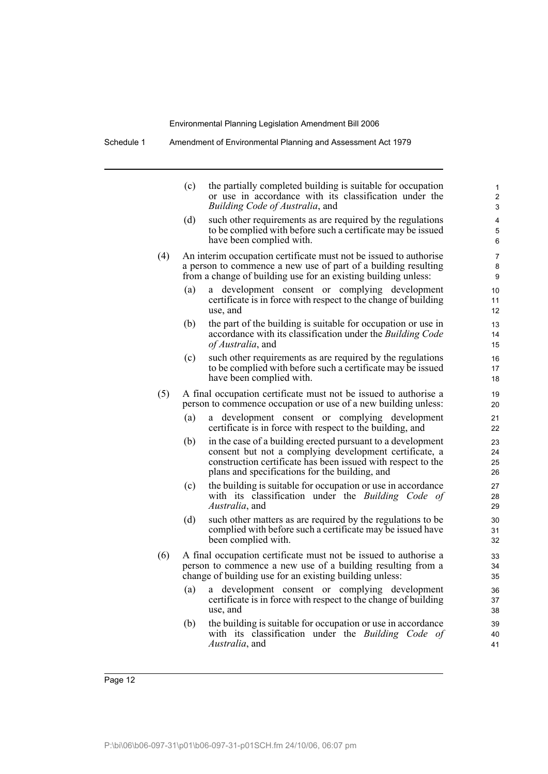Schedule 1 Amendment of Environmental Planning and Assessment Act 1979

|     | (c) | the partially completed building is suitable for occupation<br>or use in accordance with its classification under the<br>Building Code of Australia, and                                                                                | 1<br>$\overline{\mathbf{c}}$<br>3 |
|-----|-----|-----------------------------------------------------------------------------------------------------------------------------------------------------------------------------------------------------------------------------------------|-----------------------------------|
|     | (d) | such other requirements as are required by the regulations<br>to be complied with before such a certificate may be issued<br>have been complied with.                                                                                   | 4<br>5<br>6                       |
| (4) |     | An interim occupation certificate must not be issued to authorise<br>a person to commence a new use of part of a building resulting<br>from a change of building use for an existing building unless:                                   | 7<br>8<br>9                       |
|     | (a) | development consent or complying development<br>a<br>certificate is in force with respect to the change of building<br>use, and                                                                                                         | 10<br>11<br>12                    |
|     | (b) | the part of the building is suitable for occupation or use in<br>accordance with its classification under the <i>Building Code</i><br>of Australia, and                                                                                 | 13<br>14<br>15                    |
|     | (c) | such other requirements as are required by the regulations<br>to be complied with before such a certificate may be issued<br>have been complied with.                                                                                   | 16<br>17<br>18                    |
| (5) |     | A final occupation certificate must not be issued to authorise a<br>person to commence occupation or use of a new building unless:                                                                                                      | 19<br>20                          |
|     | (a) | development consent or complying development<br>a<br>certificate is in force with respect to the building, and                                                                                                                          | 21<br>22                          |
|     | (b) | in the case of a building erected pursuant to a development<br>consent but not a complying development certificate, a<br>construction certificate has been issued with respect to the<br>plans and specifications for the building, and | 23<br>24<br>25<br>26              |
|     | (c) | the building is suitable for occupation or use in accordance<br>with its classification under the Building Code of<br>Australia, and                                                                                                    | 27<br>28<br>29                    |
|     | (d) | such other matters as are required by the regulations to be<br>complied with before such a certificate may be issued have<br>been complied with.                                                                                        | 30<br>31<br>32                    |
| (6) |     | A final occupation certificate must not be issued to authorise a<br>person to commence a new use of a building resulting from a<br>change of building use for an existing building unless:                                              | 33<br>34<br>35                    |
|     | (a) | a development consent or complying development<br>certificate is in force with respect to the change of building<br>use, and                                                                                                            | 36<br>37<br>38                    |
|     | (b) | the building is suitable for occupation or use in accordance<br>with its classification under the Building Code of<br>Australia, and                                                                                                    | 39<br>40<br>41                    |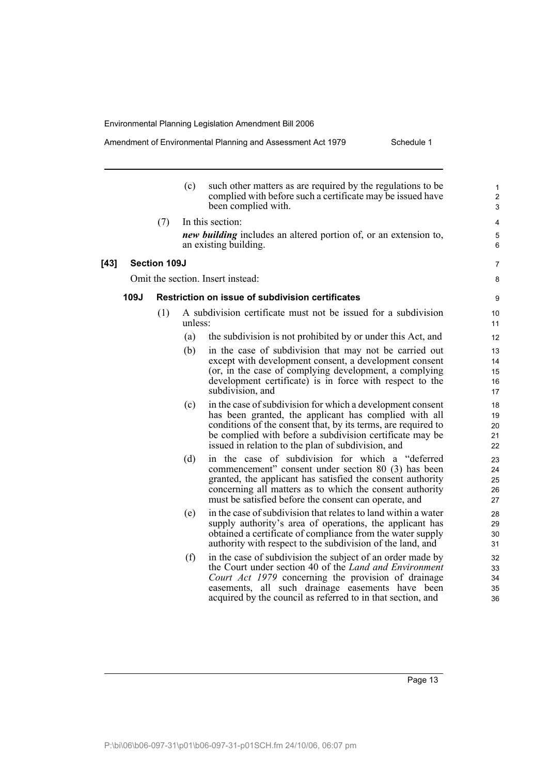Amendment of Environmental Planning and Assessment Act 1979 Schedule 1

|        |      |              | (c)     | such other matters as are required by the regulations to be<br>complied with before such a certificate may be issued have<br>been complied with.                                                                                                                                                       | $\mathbf{1}$<br>$\mathbf{2}$<br>3 |
|--------|------|--------------|---------|--------------------------------------------------------------------------------------------------------------------------------------------------------------------------------------------------------------------------------------------------------------------------------------------------------|-----------------------------------|
|        |      | (7)          |         | In this section:                                                                                                                                                                                                                                                                                       | 4                                 |
|        |      |              |         | new building includes an altered portion of, or an extension to,<br>an existing building.                                                                                                                                                                                                              | 5<br>6                            |
| $[43]$ |      | Section 109J |         |                                                                                                                                                                                                                                                                                                        | 7                                 |
|        |      |              |         | Omit the section. Insert instead:                                                                                                                                                                                                                                                                      | 8                                 |
|        | 109J |              |         | Restriction on issue of subdivision certificates                                                                                                                                                                                                                                                       | 9                                 |
|        |      | (1)          | unless: | A subdivision certificate must not be issued for a subdivision                                                                                                                                                                                                                                         | 10<br>11                          |
|        |      |              | (a)     | the subdivision is not prohibited by or under this Act, and                                                                                                                                                                                                                                            | 12                                |
|        |      |              | (b)     | in the case of subdivision that may not be carried out<br>except with development consent, a development consent<br>(or, in the case of complying development, a complying<br>development certificate) is in force with respect to the<br>subdivision, and                                             | 13<br>14<br>15<br>16<br>17        |
|        |      |              | (c)     | in the case of subdivision for which a development consent<br>has been granted, the applicant has complied with all<br>conditions of the consent that, by its terms, are required to<br>be complied with before a subdivision certificate may be<br>issued in relation to the plan of subdivision, and | 18<br>19<br>20<br>21<br>22        |
|        |      |              | (d)     | in the case of subdivision for which a "deferred<br>commencement" consent under section 80 (3) has been<br>granted, the applicant has satisfied the consent authority<br>concerning all matters as to which the consent authority<br>must be satisfied before the consent can operate, and             | 23<br>24<br>25<br>26<br>27        |
|        |      |              | (e)     | in the case of subdivision that relates to land within a water<br>supply authority's area of operations, the applicant has<br>obtained a certificate of compliance from the water supply<br>authority with respect to the subdivision of the land, and                                                 | 28<br>29<br>30<br>31              |
|        |      |              | (f)     | in the case of subdivision the subject of an order made by<br>the Court under section 40 of the Land and Environment<br>Court Act 1979 concerning the provision of drainage<br>easements, all such drainage easements have been<br>acquired by the council as referred to in that section, and         | 32<br>33<br>34<br>35<br>36        |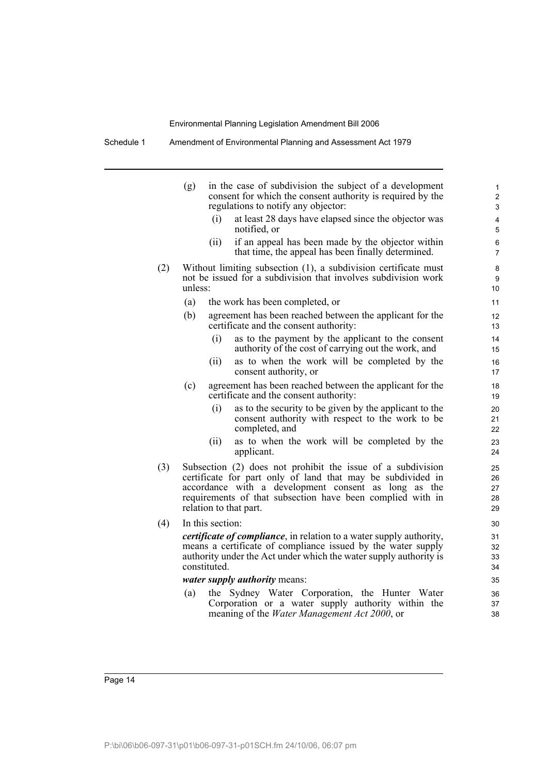Schedule 1 Amendment of Environmental Planning and Assessment Act 1979

| (g) | (i)  | in the case of subdivision the subject of a development<br>consent for which the consent authority is required by the<br>regulations to notify any objector: | 1<br>$\overline{2}$<br>3                                                                                                                                                                                                                                                                                                                                                                                                                                                                                                                                                                                                                                                                                                                                                                                                                                                                                                                |
|-----|------|--------------------------------------------------------------------------------------------------------------------------------------------------------------|-----------------------------------------------------------------------------------------------------------------------------------------------------------------------------------------------------------------------------------------------------------------------------------------------------------------------------------------------------------------------------------------------------------------------------------------------------------------------------------------------------------------------------------------------------------------------------------------------------------------------------------------------------------------------------------------------------------------------------------------------------------------------------------------------------------------------------------------------------------------------------------------------------------------------------------------|
|     |      |                                                                                                                                                              |                                                                                                                                                                                                                                                                                                                                                                                                                                                                                                                                                                                                                                                                                                                                                                                                                                                                                                                                         |
|     |      | at least 28 days have elapsed since the objector was<br>notified, or                                                                                         | 4<br>5                                                                                                                                                                                                                                                                                                                                                                                                                                                                                                                                                                                                                                                                                                                                                                                                                                                                                                                                  |
|     | (ii) | if an appeal has been made by the objector within<br>that time, the appeal has been finally determined.                                                      | 6<br>$\overline{7}$                                                                                                                                                                                                                                                                                                                                                                                                                                                                                                                                                                                                                                                                                                                                                                                                                                                                                                                     |
|     |      | Without limiting subsection (1), a subdivision certificate must<br>not be issued for a subdivision that involves subdivision work                            | 8<br>9<br>10                                                                                                                                                                                                                                                                                                                                                                                                                                                                                                                                                                                                                                                                                                                                                                                                                                                                                                                            |
| (a) |      |                                                                                                                                                              | 11                                                                                                                                                                                                                                                                                                                                                                                                                                                                                                                                                                                                                                                                                                                                                                                                                                                                                                                                      |
| (b) |      |                                                                                                                                                              | 12<br>13                                                                                                                                                                                                                                                                                                                                                                                                                                                                                                                                                                                                                                                                                                                                                                                                                                                                                                                                |
|     | (i)  | as to the payment by the applicant to the consent<br>authority of the cost of carrying out the work, and                                                     | 14<br>15                                                                                                                                                                                                                                                                                                                                                                                                                                                                                                                                                                                                                                                                                                                                                                                                                                                                                                                                |
|     | (ii) | as to when the work will be completed by the<br>consent authority, or                                                                                        | 16<br>17                                                                                                                                                                                                                                                                                                                                                                                                                                                                                                                                                                                                                                                                                                                                                                                                                                                                                                                                |
| (c) |      |                                                                                                                                                              | 18<br>19                                                                                                                                                                                                                                                                                                                                                                                                                                                                                                                                                                                                                                                                                                                                                                                                                                                                                                                                |
|     | (i)  | as to the security to be given by the applicant to the<br>consent authority with respect to the work to be<br>completed, and                                 | 20<br>21<br>22                                                                                                                                                                                                                                                                                                                                                                                                                                                                                                                                                                                                                                                                                                                                                                                                                                                                                                                          |
|     | (ii) | as to when the work will be completed by the<br>applicant.                                                                                                   | 23<br>24                                                                                                                                                                                                                                                                                                                                                                                                                                                                                                                                                                                                                                                                                                                                                                                                                                                                                                                                |
|     |      |                                                                                                                                                              | 25<br>26<br>27<br>28<br>29                                                                                                                                                                                                                                                                                                                                                                                                                                                                                                                                                                                                                                                                                                                                                                                                                                                                                                              |
|     |      |                                                                                                                                                              | 30                                                                                                                                                                                                                                                                                                                                                                                                                                                                                                                                                                                                                                                                                                                                                                                                                                                                                                                                      |
|     |      |                                                                                                                                                              | 31<br>32<br>33<br>34                                                                                                                                                                                                                                                                                                                                                                                                                                                                                                                                                                                                                                                                                                                                                                                                                                                                                                                    |
|     |      |                                                                                                                                                              | 35                                                                                                                                                                                                                                                                                                                                                                                                                                                                                                                                                                                                                                                                                                                                                                                                                                                                                                                                      |
| (a) | the  | Sydney Water Corporation, the Hunter Water                                                                                                                   | 36<br>37<br>38                                                                                                                                                                                                                                                                                                                                                                                                                                                                                                                                                                                                                                                                                                                                                                                                                                                                                                                          |
|     |      | unless:                                                                                                                                                      | the work has been completed, or<br>agreement has been reached between the applicant for the<br>certificate and the consent authority:<br>agreement has been reached between the applicant for the<br>certificate and the consent authority:<br>Subsection (2) does not prohibit the issue of a subdivision<br>certificate for part only of land that may be subdivided in<br>accordance with a development consent as long as the<br>requirements of that subsection have been complied with in<br>relation to that part.<br>In this section:<br><i>certificate of compliance</i> , in relation to a water supply authority,<br>means a certificate of compliance issued by the water supply<br>authority under the Act under which the water supply authority is<br>constituted.<br><i>water supply authority means:</i><br>Corporation or a water supply authority within the<br>meaning of the <i>Water Management Act 2000</i> , or |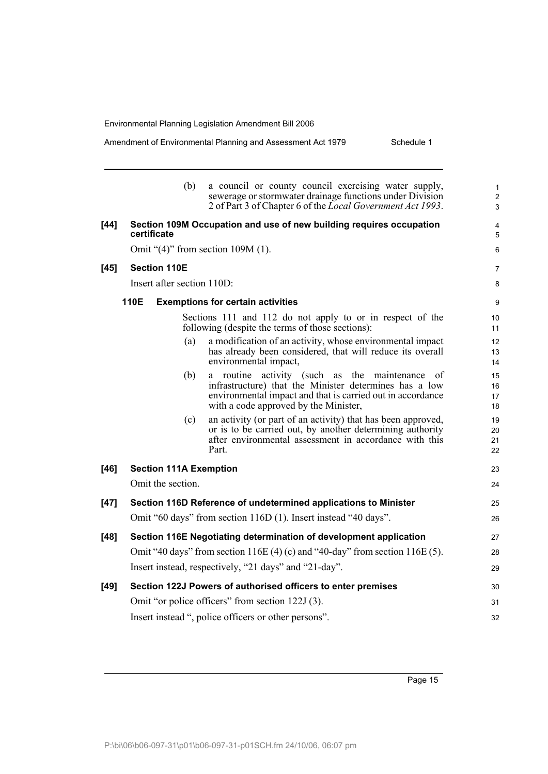| Amendment of Environmental Planning and Assessment Act 1979 | Schedule 1 |
|-------------------------------------------------------------|------------|
|-------------------------------------------------------------|------------|

|        | (b)                           | a council or county council exercising water supply,<br>sewerage or stormwater drainage functions under Division<br>2 of Part 3 of Chapter 6 of the Local Government Act 1993.                                        | 1<br>$\overline{c}$<br>3 |
|--------|-------------------------------|-----------------------------------------------------------------------------------------------------------------------------------------------------------------------------------------------------------------------|--------------------------|
| $[44]$ | certificate                   | Section 109M Occupation and use of new building requires occupation                                                                                                                                                   | 4<br>5                   |
|        |                               | Omit " $(4)$ " from section 109M (1).                                                                                                                                                                                 | 6                        |
| $[45]$ | <b>Section 110E</b>           |                                                                                                                                                                                                                       | 7                        |
|        | Insert after section 110D:    |                                                                                                                                                                                                                       | 8                        |
|        | 110E                          | <b>Exemptions for certain activities</b>                                                                                                                                                                              | 9                        |
|        |                               | Sections 111 and 112 do not apply to or in respect of the<br>following (despite the terms of those sections):                                                                                                         | 10<br>11                 |
|        | (a)                           | a modification of an activity, whose environmental impact<br>has already been considered, that will reduce its overall<br>environmental impact,                                                                       | 12<br>13<br>14           |
|        | (b)                           | routine activity (such as the maintenance<br>0ſ<br>a<br>infrastructure) that the Minister determines has a low<br>environmental impact and that is carried out in accordance<br>with a code approved by the Minister, | 15<br>16<br>17<br>18     |
|        | (c)                           | an activity (or part of an activity) that has been approved,<br>or is to be carried out, by another determining authority<br>after environmental assessment in accordance with this<br>Part                           | 19<br>20<br>21<br>22     |
| [46]   | <b>Section 111A Exemption</b> |                                                                                                                                                                                                                       | 23                       |
|        | Omit the section.             |                                                                                                                                                                                                                       | 24                       |
| $[47]$ |                               | Section 116D Reference of undetermined applications to Minister                                                                                                                                                       | 25                       |
|        |                               | Omit "60 days" from section 116D (1). Insert instead "40 days".                                                                                                                                                       | 26                       |
| [48]   |                               | Section 116E Negotiating determination of development application                                                                                                                                                     | 27                       |
|        |                               | Omit "40 days" from section $116E(4)$ (c) and "40-day" from section $116E(5)$ .                                                                                                                                       | 28                       |
|        |                               | Insert instead, respectively, "21 days" and "21-day".                                                                                                                                                                 | 29                       |
| [49]   |                               | Section 122J Powers of authorised officers to enter premises                                                                                                                                                          | 30                       |
|        |                               | Omit "or police officers" from section 122J (3).                                                                                                                                                                      | 31                       |
|        |                               | Insert instead ", police officers or other persons".                                                                                                                                                                  | 32                       |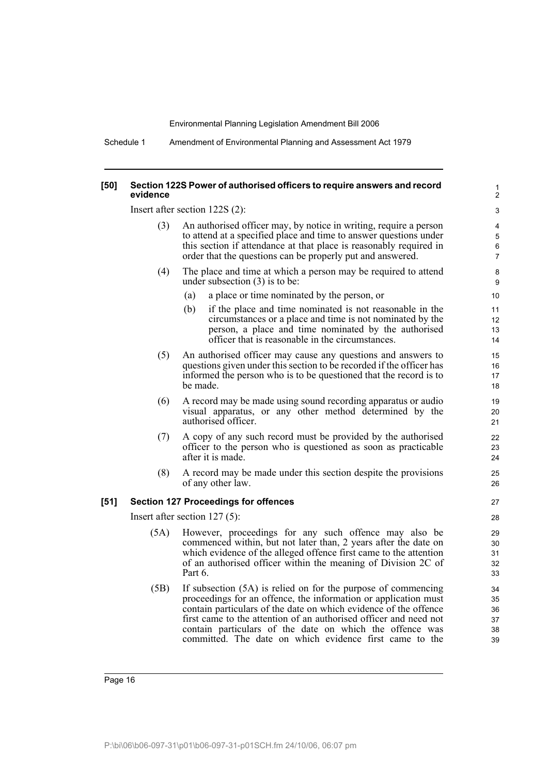Schedule 1 Amendment of Environmental Planning and Assessment Act 1979

#### **[50] Section 122S Power of authorised officers to require answers and record evidence**

Insert after section 122S (2):

(3) An authorised officer may, by notice in writing, require a person to attend at a specified place and time to answer questions under this section if attendance at that place is reasonably required in order that the questions can be properly put and answered.

- (4) The place and time at which a person may be required to attend under subsection (3) is to be:
	- (a) a place or time nominated by the person, or
	- (b) if the place and time nominated is not reasonable in the circumstances or a place and time is not nominated by the person, a place and time nominated by the authorised officer that is reasonable in the circumstances.
- (5) An authorised officer may cause any questions and answers to questions given under this section to be recorded if the officer has informed the person who is to be questioned that the record is to be made.
- (6) A record may be made using sound recording apparatus or audio visual apparatus, or any other method determined by the authorised officer.
- (7) A copy of any such record must be provided by the authorised officer to the person who is questioned as soon as practicable after it is made.
- (8) A record may be made under this section despite the provisions of any other law.

### **[51] Section 127 Proceedings for offences**

Insert after section 127 (5):

- (5A) However, proceedings for any such offence may also be commenced within, but not later than, 2 years after the date on which evidence of the alleged offence first came to the attention of an authorised officer within the meaning of Division 2C of Part 6.
- (5B) If subsection (5A) is relied on for the purpose of commencing proceedings for an offence, the information or application must contain particulars of the date on which evidence of the offence first came to the attention of an authorised officer and need not contain particulars of the date on which the offence was committed. The date on which evidence first came to the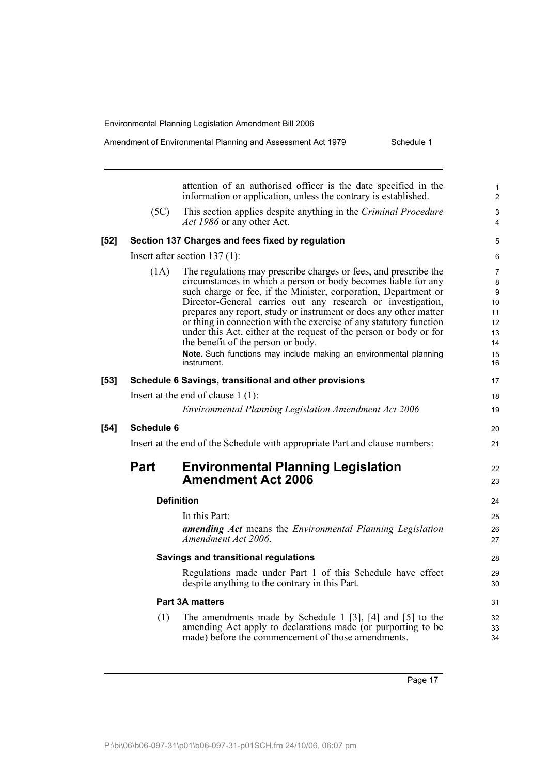|        |      | attention of an authorised officer is the date specified in the<br>information or application, unless the contrary is established.                                                                                                                                                                                                                                                                                                                                       |
|--------|------|--------------------------------------------------------------------------------------------------------------------------------------------------------------------------------------------------------------------------------------------------------------------------------------------------------------------------------------------------------------------------------------------------------------------------------------------------------------------------|
|        | (5C) | This section applies despite anything in the Criminal Procedure<br><i>Act 1986</i> or any other Act.                                                                                                                                                                                                                                                                                                                                                                     |
| $[52]$ |      | Section 137 Charges and fees fixed by regulation                                                                                                                                                                                                                                                                                                                                                                                                                         |
|        |      | Insert after section $137(1)$ :                                                                                                                                                                                                                                                                                                                                                                                                                                          |
|        | (1A) | The regulations may prescribe charges or fees, and prescribe the<br>circumstances in which a person or body becomes liable for any<br>$\mathbf{1}$ $\mathbf{1}$ $\mathbf{0}$ $\mathbf{0}$ $\mathbf{1}$ $\mathbf{1}$ $\mathbf{0}$ $\mathbf{1}$ $\mathbf{1}$ $\mathbf{1}$ $\mathbf{0}$ $\mathbf{1}$ $\mathbf{0}$ $\mathbf{1}$ $\mathbf{0}$ $\mathbf{1}$ $\mathbf{0}$ $\mathbf{1}$ $\mathbf{0}$ $\mathbf{1}$ $\mathbf{0}$ $\mathbf{1}$ $\mathbf{0}$ $\mathbf{1}$ $\mathbf{$ |

Amendment of Environmental Planning and Assessment Act 1979 Schedule 1

such charge or fee, if the Minister, corporation, Department or Director-General carries out any research or investigation, prepares any report, study or instrument or does any other matter or thing in connection with the exercise of any statutory function under this Act, either at the request of the person or body or for the benefit of the person or body. **Note.** Such functions may include making an environmental planning instrument. **[53] Schedule 6 Savings, transitional and other provisions** Insert at the end of clause 1 (1): *Environmental Planning Legislation Amendment Act 2006* **[54] Schedule 6** Insert at the end of the Schedule with appropriate Part and clause numbers:

# **Part Environmental Planning Legislation Amendment Act 2006**

|     | <b>Definition</b>                                                                                            | 24       |
|-----|--------------------------------------------------------------------------------------------------------------|----------|
|     | In this Part:                                                                                                | 25       |
|     | <b>amending Act</b> means the <i>Environmental Planning Legislation</i><br>Amendment Act 2006.               | 26<br>27 |
|     | Savings and transitional regulations                                                                         | 28       |
|     | Regulations made under Part 1 of this Schedule have effect<br>despite anything to the contrary in this Part. | 29<br>30 |
|     | <b>Part 3A matters</b>                                                                                       | 31       |
| (1) | The amendments made by Schedule 1 [3], [4] and [5] to the                                                    | 32       |
|     | amending Act apply to declarations made (or purporting to be                                                 | 33       |
|     | made) before the commencement of those amendments.                                                           | 34       |

Page 17

20 21

22 23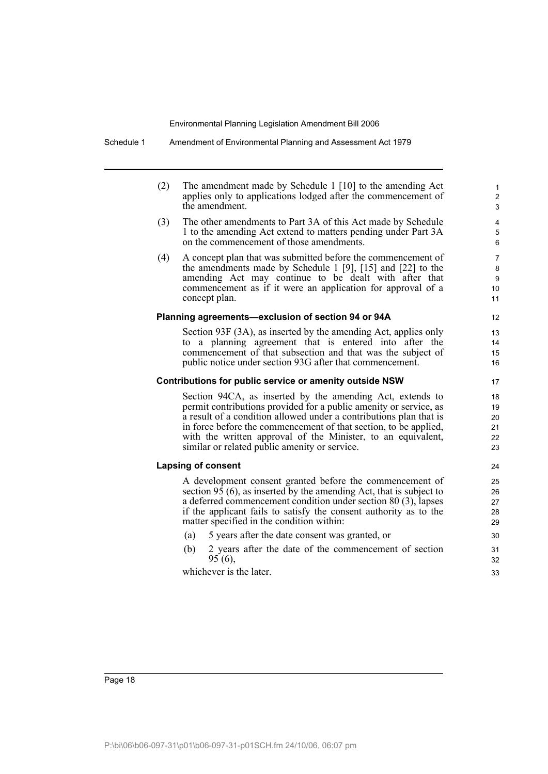| (2) | The amendment made by Schedule 1 [10] to the amending Act<br>applies only to applications lodged after the commencement of<br>the amendment.                                                                                                                                                                                                                                              | 1<br>$\overline{\mathbf{c}}$<br>3    |
|-----|-------------------------------------------------------------------------------------------------------------------------------------------------------------------------------------------------------------------------------------------------------------------------------------------------------------------------------------------------------------------------------------------|--------------------------------------|
| (3) | The other amendments to Part 3A of this Act made by Schedule<br>1 to the amending Act extend to matters pending under Part 3A<br>on the commencement of those amendments.                                                                                                                                                                                                                 | 4<br>5<br>6                          |
| (4) | A concept plan that was submitted before the commencement of<br>the amendments made by Schedule 1 [9], [15] and [22] to the<br>amending Act may continue to be dealt with after that<br>commencement as if it were an application for approval of a<br>concept plan.                                                                                                                      | $\overline{7}$<br>8<br>9<br>10<br>11 |
|     | Planning agreements-exclusion of section 94 or 94A                                                                                                                                                                                                                                                                                                                                        | 12                                   |
|     | Section 93F (3A), as inserted by the amending Act, applies only<br>to a planning agreement that is entered into after the<br>commencement of that subsection and that was the subject of<br>public notice under section 93G after that commencement.                                                                                                                                      | 13<br>14<br>15<br>16                 |
|     | Contributions for public service or amenity outside NSW                                                                                                                                                                                                                                                                                                                                   | 17                                   |
|     | Section 94CA, as inserted by the amending Act, extends to<br>permit contributions provided for a public amenity or service, as<br>a result of a condition allowed under a contributions plan that is<br>in force before the commencement of that section, to be applied,<br>with the written approval of the Minister, to an equivalent,<br>similar or related public amenity or service. | 18<br>19<br>20<br>21<br>22<br>23     |
|     | <b>Lapsing of consent</b>                                                                                                                                                                                                                                                                                                                                                                 | 24                                   |
|     | A development consent granted before the commencement of<br>section $95(6)$ , as inserted by the amending Act, that is subject to<br>a deferred commencement condition under section 80 (3), lapses<br>if the applicant fails to satisfy the consent authority as to the<br>matter specified in the condition within:                                                                     | 25<br>26<br>27<br>28<br>29           |
|     | (a)<br>5 years after the date consent was granted, or                                                                                                                                                                                                                                                                                                                                     | 30                                   |
|     | (b)<br>2 years after the date of the commencement of section<br>95 (6),                                                                                                                                                                                                                                                                                                                   | 31<br>32                             |
|     | whichever is the later.                                                                                                                                                                                                                                                                                                                                                                   | 33                                   |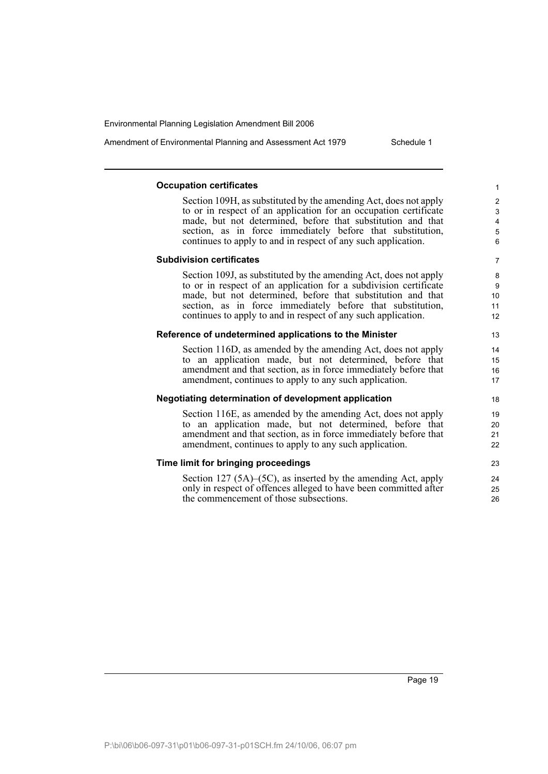Amendment of Environmental Planning and Assessment Act 1979 Schedule 1

### **Occupation certificates**

Section 109H, as substituted by the amending Act, does not apply to or in respect of an application for an occupation certificate made, but not determined, before that substitution and that section, as in force immediately before that substitution, continues to apply to and in respect of any such application.

#### **Subdivision certificates**

Section 109J, as substituted by the amending Act, does not apply to or in respect of an application for a subdivision certificate made, but not determined, before that substitution and that section, as in force immediately before that substitution, continues to apply to and in respect of any such application.

#### **Reference of undetermined applications to the Minister**

Section 116D, as amended by the amending Act, does not apply to an application made, but not determined, before that amendment and that section, as in force immediately before that amendment, continues to apply to any such application.

### **Negotiating determination of development application**

Section 116E, as amended by the amending Act, does not apply to an application made, but not determined, before that amendment and that section, as in force immediately before that amendment, continues to apply to any such application.

#### **Time limit for bringing proceedings**

Section 127 (5A)–(5C), as inserted by the amending Act, apply only in respect of offences alleged to have been committed after the commencement of those subsections.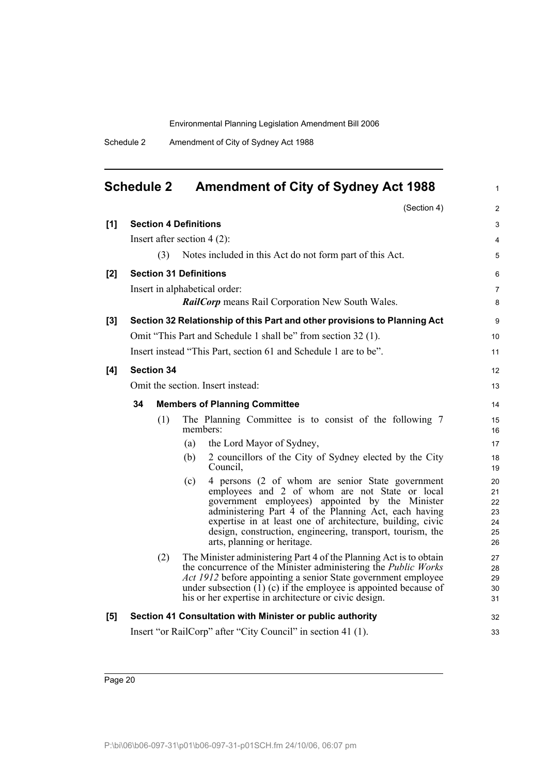Schedule 2 Amendment of City of Sydney Act 1988

# <span id="page-29-0"></span>**Schedule 2 Amendment of City of Sydney Act 1988**

1

|     | (Section 4)                                                                                                                                                                                                                                                                                                                                                                      | 2                                      |
|-----|----------------------------------------------------------------------------------------------------------------------------------------------------------------------------------------------------------------------------------------------------------------------------------------------------------------------------------------------------------------------------------|----------------------------------------|
| [1] | <b>Section 4 Definitions</b>                                                                                                                                                                                                                                                                                                                                                     | $\ensuremath{\mathsf{3}}$              |
|     | Insert after section $4(2)$ :                                                                                                                                                                                                                                                                                                                                                    | 4                                      |
|     | Notes included in this Act do not form part of this Act.<br>(3)                                                                                                                                                                                                                                                                                                                  | 5                                      |
| [2] | <b>Section 31 Definitions</b>                                                                                                                                                                                                                                                                                                                                                    | 6                                      |
|     | Insert in alphabetical order:                                                                                                                                                                                                                                                                                                                                                    | $\overline{7}$                         |
|     | <b>RailCorp</b> means Rail Corporation New South Wales.                                                                                                                                                                                                                                                                                                                          | 8                                      |
| [3] | Section 32 Relationship of this Part and other provisions to Planning Act                                                                                                                                                                                                                                                                                                        | 9                                      |
|     | Omit "This Part and Schedule 1 shall be" from section 32 (1).                                                                                                                                                                                                                                                                                                                    | 10                                     |
|     | Insert instead "This Part, section 61 and Schedule 1 are to be".                                                                                                                                                                                                                                                                                                                 | 11                                     |
| [4] | <b>Section 34</b>                                                                                                                                                                                                                                                                                                                                                                | 12                                     |
|     | Omit the section. Insert instead:                                                                                                                                                                                                                                                                                                                                                | 13                                     |
|     | 34<br><b>Members of Planning Committee</b>                                                                                                                                                                                                                                                                                                                                       | 14                                     |
|     | The Planning Committee is to consist of the following 7<br>(1)<br>members:                                                                                                                                                                                                                                                                                                       | 15<br>16                               |
|     | the Lord Mayor of Sydney,<br>(a)                                                                                                                                                                                                                                                                                                                                                 | 17                                     |
|     | 2 councillors of the City of Sydney elected by the City<br>(b)<br>Council,                                                                                                                                                                                                                                                                                                       | 18<br>19                               |
|     | 4 persons (2 of whom are senior State government<br>(c)<br>employees and 2 of whom are not State or local<br>government employees) appointed by the Minister<br>administering Part 4 of the Planning Act, each having<br>expertise in at least one of architecture, building, civic<br>design, construction, engineering, transport, tourism, the<br>arts, planning or heritage. | 20<br>21<br>22<br>23<br>24<br>25<br>26 |
|     | The Minister administering Part 4 of the Planning Act is to obtain<br>(2)<br>the concurrence of the Minister administering the <i>Public Works</i><br>Act 1912 before appointing a senior State government employee<br>under subsection $(1)$ (c) if the employee is appointed because of<br>his or her expertise in architecture or civic design.                               | 27<br>28<br>29<br>30<br>31             |
| [5] | Section 41 Consultation with Minister or public authority                                                                                                                                                                                                                                                                                                                        | 32                                     |
|     | Insert "or RailCorp" after "City Council" in section 41 (1).                                                                                                                                                                                                                                                                                                                     | 33                                     |
|     |                                                                                                                                                                                                                                                                                                                                                                                  |                                        |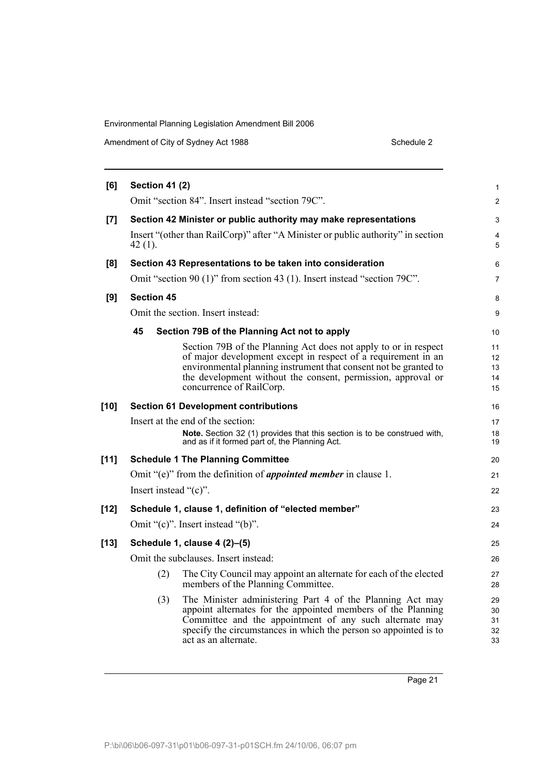| Amendment of City of Sydney Act 1988 | Schedule 2 |
|--------------------------------------|------------|
|                                      |            |

| [6]    | <b>Section 41 (2)</b>                                            |                                                                                                                                                                                                                                                                                                  | 1                            |  |  |  |
|--------|------------------------------------------------------------------|--------------------------------------------------------------------------------------------------------------------------------------------------------------------------------------------------------------------------------------------------------------------------------------------------|------------------------------|--|--|--|
|        |                                                                  | Omit "section 84". Insert instead "section 79C".                                                                                                                                                                                                                                                 | $\overline{2}$               |  |  |  |
| [7]    | Section 42 Minister or public authority may make representations |                                                                                                                                                                                                                                                                                                  |                              |  |  |  |
|        | 42 $(1)$ .                                                       | Insert "(other than RailCorp)" after "A Minister or public authority" in section                                                                                                                                                                                                                 | $\overline{\mathbf{4}}$<br>5 |  |  |  |
| [8]    |                                                                  | Section 43 Representations to be taken into consideration                                                                                                                                                                                                                                        | 6                            |  |  |  |
|        |                                                                  | Omit "section 90 (1)" from section 43 (1). Insert instead "section 79C".                                                                                                                                                                                                                         | $\overline{7}$               |  |  |  |
| [9]    | <b>Section 45</b>                                                |                                                                                                                                                                                                                                                                                                  | 8                            |  |  |  |
|        |                                                                  | Omit the section. Insert instead:                                                                                                                                                                                                                                                                | $\boldsymbol{9}$             |  |  |  |
|        | 45                                                               | Section 79B of the Planning Act not to apply                                                                                                                                                                                                                                                     | 10                           |  |  |  |
|        |                                                                  | Section 79B of the Planning Act does not apply to or in respect<br>of major development except in respect of a requirement in an<br>environmental planning instrument that consent not be granted to<br>the development without the consent, permission, approval or<br>concurrence of RailCorp. | 11<br>12<br>13<br>14<br>15   |  |  |  |
| [10]   |                                                                  | <b>Section 61 Development contributions</b>                                                                                                                                                                                                                                                      | 16                           |  |  |  |
|        |                                                                  | Insert at the end of the section:<br>Note. Section 32 (1) provides that this section is to be construed with,<br>and as if it formed part of, the Planning Act.                                                                                                                                  | 17<br>18<br>19               |  |  |  |
| [11]   |                                                                  | <b>Schedule 1 The Planning Committee</b>                                                                                                                                                                                                                                                         | 20                           |  |  |  |
|        |                                                                  | Omit "(e)" from the definition of <i>appointed member</i> in clause 1.                                                                                                                                                                                                                           | 21                           |  |  |  |
|        | Insert instead " $(c)$ ".                                        |                                                                                                                                                                                                                                                                                                  | 22                           |  |  |  |
| $[12]$ |                                                                  | Schedule 1, clause 1, definition of "elected member"                                                                                                                                                                                                                                             | 23                           |  |  |  |
|        |                                                                  | Omit "(c)". Insert instead "(b)".                                                                                                                                                                                                                                                                | 24                           |  |  |  |
| $[13]$ |                                                                  | Schedule 1, clause 4 (2)-(5)                                                                                                                                                                                                                                                                     | 25                           |  |  |  |
|        |                                                                  | Omit the subclauses. Insert instead:                                                                                                                                                                                                                                                             | 26                           |  |  |  |
|        | (2)                                                              | The City Council may appoint an alternate for each of the elected<br>members of the Planning Committee.                                                                                                                                                                                          | 27<br>28                     |  |  |  |
|        | (3)                                                              | The Minister administering Part 4 of the Planning Act may<br>appoint alternates for the appointed members of the Planning<br>Committee and the appointment of any such alternate may<br>specify the circumstances in which the person so appointed is to<br>act as an alternate.                 | 29<br>30<br>31<br>32<br>33   |  |  |  |
|        |                                                                  |                                                                                                                                                                                                                                                                                                  |                              |  |  |  |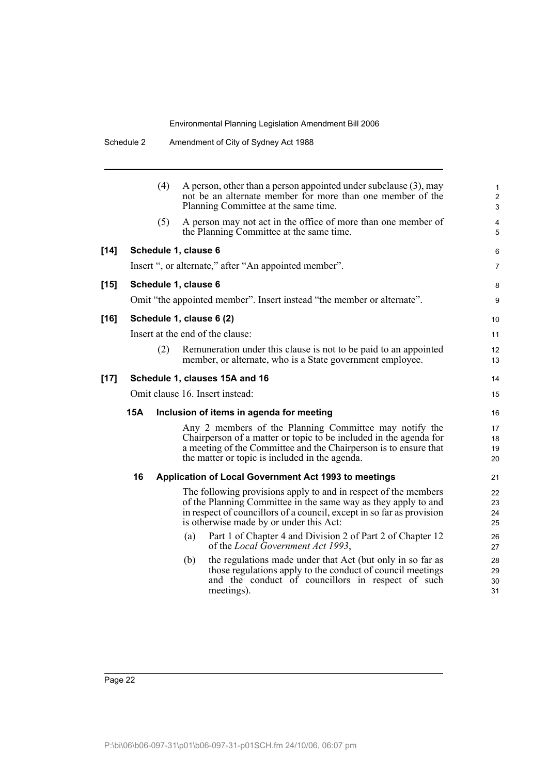|        | Schedule 2 |     |                      | Amendment of City of Sydney Act 1988                                                                                                                                                                                                                  |                        |
|--------|------------|-----|----------------------|-------------------------------------------------------------------------------------------------------------------------------------------------------------------------------------------------------------------------------------------------------|------------------------|
|        |            | (4) |                      | A person, other than a person appointed under subclause (3), may<br>not be an alternate member for more than one member of the<br>Planning Committee at the same time.                                                                                | $\mathbf{1}$<br>2<br>3 |
|        |            | (5) |                      | A person may not act in the office of more than one member of<br>the Planning Committee at the same time.                                                                                                                                             | 4<br>5                 |
| $[14]$ |            |     | Schedule 1, clause 6 |                                                                                                                                                                                                                                                       | 6                      |
|        |            |     |                      | Insert ", or alternate," after "An appointed member".                                                                                                                                                                                                 | $\overline{7}$         |
| $[15]$ |            |     | Schedule 1, clause 6 |                                                                                                                                                                                                                                                       | 8                      |
|        |            |     |                      | Omit "the appointed member". Insert instead "the member or alternate".                                                                                                                                                                                | 9                      |
| $[16]$ |            |     |                      | Schedule 1, clause 6 (2)                                                                                                                                                                                                                              | 10                     |
|        |            |     |                      | Insert at the end of the clause:                                                                                                                                                                                                                      | 11                     |
|        |            | (2) |                      | Remuneration under this clause is not to be paid to an appointed<br>member, or alternate, who is a State government employee.                                                                                                                         | 12<br>13               |
| $[17]$ |            |     |                      | Schedule 1, clauses 15A and 16                                                                                                                                                                                                                        | 14                     |
|        |            |     |                      | Omit clause 16. Insert instead:                                                                                                                                                                                                                       | 15                     |
|        | 15A        |     |                      | Inclusion of items in agenda for meeting                                                                                                                                                                                                              | 16                     |
|        |            |     |                      | Any 2 members of the Planning Committee may notify the<br>Chairperson of a matter or topic to be included in the agenda for<br>a meeting of the Committee and the Chairperson is to ensure that<br>the matter or topic is included in the agenda.     | 17<br>18<br>19<br>20   |
|        | 16         |     |                      | Application of Local Government Act 1993 to meetings                                                                                                                                                                                                  | 21                     |
|        |            |     |                      | The following provisions apply to and in respect of the members<br>of the Planning Committee in the same way as they apply to and<br>in respect of councillors of a council, except in so far as provision<br>is otherwise made by or under this Act: | 22<br>23<br>24<br>25   |
|        |            |     | (a)                  | Part 1 of Chapter 4 and Division 2 of Part 2 of Chapter 12<br>of the Local Government Act 1993,                                                                                                                                                       | 26<br>27               |
|        |            |     | (b)                  | the regulations made under that Act (but only in so far as<br>those regulations apply to the conduct of council meetings<br>and the conduct of councillors in respect of such<br>meetings).                                                           | 28<br>29<br>30<br>31   |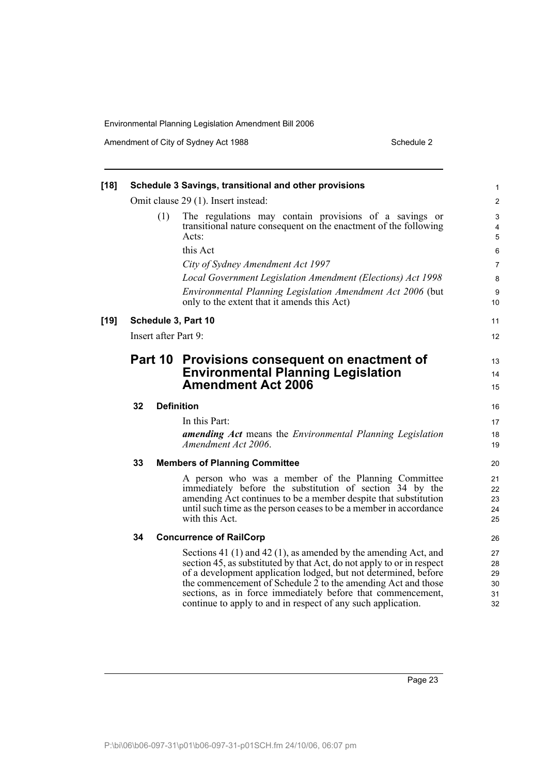Amendment of City of Sydney Act 1988 Schedule 2

| $[18]$ |         |     | Schedule 3 Savings, transitional and other provisions                                                                                                                                                                                                                                                                                                                                                           | 1                                |
|--------|---------|-----|-----------------------------------------------------------------------------------------------------------------------------------------------------------------------------------------------------------------------------------------------------------------------------------------------------------------------------------------------------------------------------------------------------------------|----------------------------------|
|        |         |     | Omit clause 29 (1). Insert instead:                                                                                                                                                                                                                                                                                                                                                                             | 2                                |
|        |         | (1) | The regulations may contain provisions of a savings or<br>transitional nature consequent on the enactment of the following<br>Acts:<br>this Act                                                                                                                                                                                                                                                                 | 3<br>4<br>5<br>6                 |
|        |         |     | City of Sydney Amendment Act 1997                                                                                                                                                                                                                                                                                                                                                                               | 7                                |
|        |         |     | Local Government Legislation Amendment (Elections) Act 1998                                                                                                                                                                                                                                                                                                                                                     | 8                                |
|        |         |     | Environmental Planning Legislation Amendment Act 2006 (but<br>only to the extent that it amends this Act)                                                                                                                                                                                                                                                                                                       | 9<br>10                          |
| $[19]$ |         |     | Schedule 3, Part 10                                                                                                                                                                                                                                                                                                                                                                                             | 11                               |
|        |         |     | Insert after Part 9:                                                                                                                                                                                                                                                                                                                                                                                            | 12                               |
|        | Part 10 |     | <b>Provisions consequent on enactment of</b>                                                                                                                                                                                                                                                                                                                                                                    | 13                               |
|        |         |     | <b>Environmental Planning Legislation</b>                                                                                                                                                                                                                                                                                                                                                                       | 14                               |
|        |         |     | <b>Amendment Act 2006</b>                                                                                                                                                                                                                                                                                                                                                                                       | 15                               |
|        | 32      |     | <b>Definition</b>                                                                                                                                                                                                                                                                                                                                                                                               | 16                               |
|        |         |     | In this Part:                                                                                                                                                                                                                                                                                                                                                                                                   | 17                               |
|        |         |     | <b>amending Act</b> means the <i>Environmental Planning Legislation</i><br>Amendment Act 2006.                                                                                                                                                                                                                                                                                                                  | 18<br>19                         |
|        | 33      |     | <b>Members of Planning Committee</b>                                                                                                                                                                                                                                                                                                                                                                            | 20                               |
|        |         |     | A person who was a member of the Planning Committee<br>immediately before the substitution of section 34 by the<br>amending Act continues to be a member despite that substitution<br>until such time as the person ceases to be a member in accordance<br>with this Act.                                                                                                                                       | 21<br>22<br>23<br>24<br>25       |
|        | 34      |     | <b>Concurrence of RailCorp</b>                                                                                                                                                                                                                                                                                                                                                                                  | 26                               |
|        |         |     | Sections 41 $(1)$ and 42 $(1)$ , as amended by the amending Act, and<br>section 45, as substituted by that Act, do not apply to or in respect<br>of a development application lodged, but not determined, before<br>the commencement of Schedule 2 to the amending Act and those<br>sections, as in force immediately before that commencement,<br>continue to apply to and in respect of any such application. | 27<br>28<br>29<br>30<br>31<br>32 |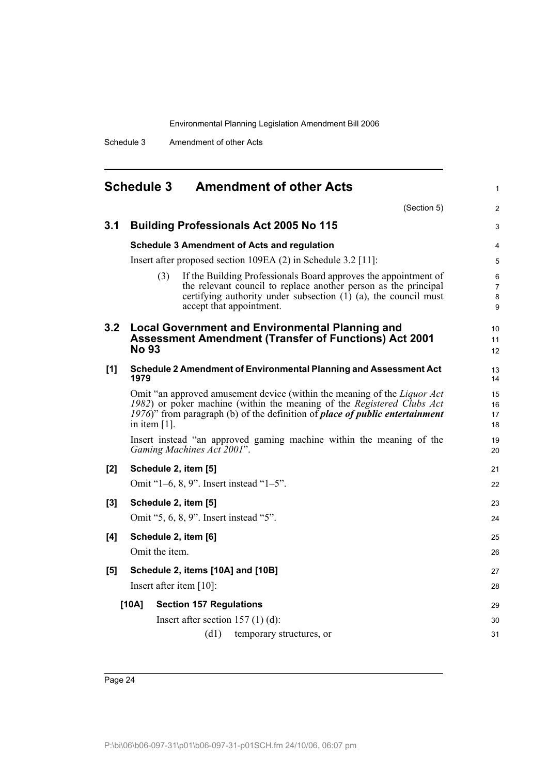Schedule 3 Amendment of other Acts

<span id="page-33-0"></span>

|     | <b>Schedule 3</b><br><b>Amendment of other Acts</b>                                                                                                                                                                                                                 | 1                             |
|-----|---------------------------------------------------------------------------------------------------------------------------------------------------------------------------------------------------------------------------------------------------------------------|-------------------------------|
|     | (Section 5)                                                                                                                                                                                                                                                         | $\overline{c}$                |
| 3.1 | <b>Building Professionals Act 2005 No 115</b>                                                                                                                                                                                                                       | 3                             |
|     | <b>Schedule 3 Amendment of Acts and regulation</b>                                                                                                                                                                                                                  | 4                             |
|     | Insert after proposed section 109EA (2) in Schedule 3.2 [11]:                                                                                                                                                                                                       | 5                             |
|     | If the Building Professionals Board approves the appointment of<br>(3)<br>the relevant council to replace another person as the principal<br>certifying authority under subsection $(1)$ $(a)$ , the council must<br>accept that appointment.                       | 6<br>$\overline{7}$<br>8<br>9 |
| 3.2 | <b>Local Government and Environmental Planning and</b><br><b>Assessment Amendment (Transfer of Functions) Act 2001</b><br><b>No 93</b>                                                                                                                              | 10<br>11<br>12                |
| [1] | Schedule 2 Amendment of Environmental Planning and Assessment Act<br>1979                                                                                                                                                                                           | 13<br>14                      |
|     | Omit "an approved amusement device (within the meaning of the <i>Liquor Act</i><br>1982) or poker machine (within the meaning of the Registered Clubs Act<br>1976)" from paragraph (b) of the definition of <i>place of public entertainment</i><br>in item $[1]$ . | 15<br>16<br>17<br>18          |
|     | Insert instead "an approved gaming machine within the meaning of the<br>Gaming Machines Act 2001".                                                                                                                                                                  | 19<br>20                      |
| [2] | Schedule 2, item [5]                                                                                                                                                                                                                                                | 21                            |
|     | Omit "1–6, 8, 9". Insert instead "1–5".                                                                                                                                                                                                                             | 22                            |
| [3] | Schedule 2, item [5]                                                                                                                                                                                                                                                | 23                            |
|     | Omit "5, 6, 8, 9". Insert instead "5".                                                                                                                                                                                                                              | 24                            |
| [4] | Schedule 2, item [6]<br>Omit the item.                                                                                                                                                                                                                              | 25<br>26                      |
| [5] | Schedule 2, items [10A] and [10B]                                                                                                                                                                                                                                   | 27                            |
|     | Insert after item $[10]$ :                                                                                                                                                                                                                                          | 28                            |
|     | [10A]<br><b>Section 157 Regulations</b>                                                                                                                                                                                                                             | 29                            |
|     | Insert after section 157 $(1)$ $(d)$ :<br>(d1)<br>temporary structures, or                                                                                                                                                                                          | 30<br>31                      |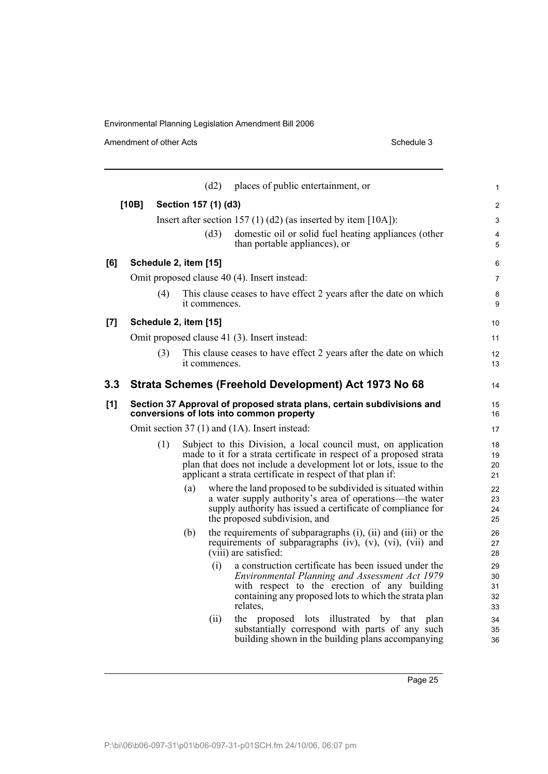Amendment of other Acts Schedule 3

|     |       |                       |     | (d2)                 | places of public entertainment, or                                                                                               | $\mathbf{1}$   |
|-----|-------|-----------------------|-----|----------------------|----------------------------------------------------------------------------------------------------------------------------------|----------------|
|     | [10B] |                       |     | Section 157 (1) (d3) |                                                                                                                                  | $\overline{2}$ |
|     |       |                       |     |                      |                                                                                                                                  |                |
|     |       |                       |     |                      | Insert after section 157 (1) (d2) (as inserted by item [10A]):                                                                   | 3              |
|     |       |                       |     | (d3)                 | domestic oil or solid fuel heating appliances (other<br>than portable appliances), or                                            | 4<br>5         |
| [6] |       | Schedule 2, item [15] |     |                      |                                                                                                                                  | 6              |
|     |       |                       |     |                      | Omit proposed clause 40 (4). Insert instead:                                                                                     | $\overline{7}$ |
|     |       | (4)                   |     | it commences.        | This clause ceases to have effect 2 years after the date on which                                                                | 8<br>9         |
| [7] |       | Schedule 2, item [15] |     |                      |                                                                                                                                  | 10             |
|     |       |                       |     |                      | Omit proposed clause 41 (3). Insert instead:                                                                                     | 11             |
|     |       | (3)                   |     | it commences.        | This clause ceases to have effect 2 years after the date on which                                                                | 12             |
|     |       |                       |     |                      |                                                                                                                                  | 13             |
| 3.3 |       |                       |     |                      | Strata Schemes (Freehold Development) Act 1973 No 68                                                                             | 14             |
| [1] |       |                       |     |                      | Section 37 Approval of proposed strata plans, certain subdivisions and<br>conversions of lots into common property               | 15<br>16       |
|     |       |                       |     |                      | Omit section 37 (1) and (1A). Insert instead:                                                                                    | 17             |
|     |       | (1)                   |     |                      | Subject to this Division, a local council must, on application                                                                   | 18             |
|     |       |                       |     |                      | made to it for a strata certificate in respect of a proposed strata                                                              | 19             |
|     |       |                       |     |                      | plan that does not include a development lot or lots, issue to the<br>applicant a strata certificate in respect of that plan if: | 20<br>21       |
|     |       |                       |     |                      |                                                                                                                                  |                |
|     |       |                       | (a) |                      | where the land proposed to be subdivided is situated within<br>a water supply authority's area of operations—the water           | 22<br>23       |
|     |       |                       |     |                      | supply authority has issued a certificate of compliance for                                                                      | 24             |
|     |       |                       |     |                      | the proposed subdivision, and                                                                                                    | 25             |
|     |       |                       | (b) |                      | the requirements of subparagraphs (i), (ii) and (iii) or the                                                                     | 26             |
|     |       |                       |     |                      | requirements of subparagraphs (iv), (v), (vi), (vii) and                                                                         | 27             |
|     |       |                       |     |                      | (viii) are satisfied:                                                                                                            | 28             |
|     |       |                       |     | (i)                  | a construction certificate has been issued under the                                                                             | 29             |
|     |       |                       |     |                      | Environmental Planning and Assessment Act 1979<br>with respect to the erection of any building                                   | 30             |
|     |       |                       |     |                      | containing any proposed lots to which the strata plan                                                                            | 31<br>32       |
|     |       |                       |     |                      | relates,                                                                                                                         | 33             |
|     |       |                       |     | (ii)                 | proposed lots illustrated by that plan<br>the                                                                                    | 34             |
|     |       |                       |     |                      | substantially correspond with parts of any such                                                                                  | 35             |
|     |       |                       |     |                      | building shown in the building plans accompanying                                                                                | 36             |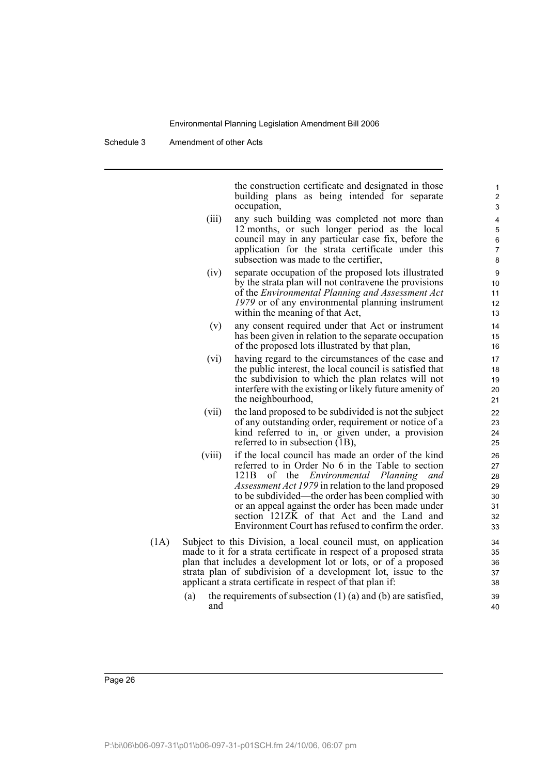Schedule 3 Amendment of other Acts

the construction certificate and designated in those building plans as being intended for separate occupation,

- (iii) any such building was completed not more than 12 months, or such longer period as the local council may in any particular case fix, before the application for the strata certificate under this subsection was made to the certifier,
- (iv) separate occupation of the proposed lots illustrated by the strata plan will not contravene the provisions of the *Environmental Planning and Assessment Act 1979* or of any environmental planning instrument within the meaning of that Act,
- (v) any consent required under that Act or instrument has been given in relation to the separate occupation of the proposed lots illustrated by that plan,
- (vi) having regard to the circumstances of the case and the public interest, the local council is satisfied that the subdivision to which the plan relates will not interfere with the existing or likely future amenity of the neighbourhood,
- (vii) the land proposed to be subdivided is not the subject of any outstanding order, requirement or notice of a kind referred to in, or given under, a provision referred to in subsection (1B),
- (viii) if the local council has made an order of the kind referred to in Order No 6 in the Table to section 121B of the *Environmental Planning and Assessment Act 1979* in relation to the land proposed to be subdivided—the order has been complied with or an appeal against the order has been made under section 121ZK of that Act and the Land and Environment Court has refused to confirm the order.
- (1A) Subject to this Division, a local council must, on application made to it for a strata certificate in respect of a proposed strata plan that includes a development lot or lots, or of a proposed strata plan of subdivision of a development lot, issue to the applicant a strata certificate in respect of that plan if:
	- (a) the requirements of subsection  $(1)$  (a) and (b) are satisfied, and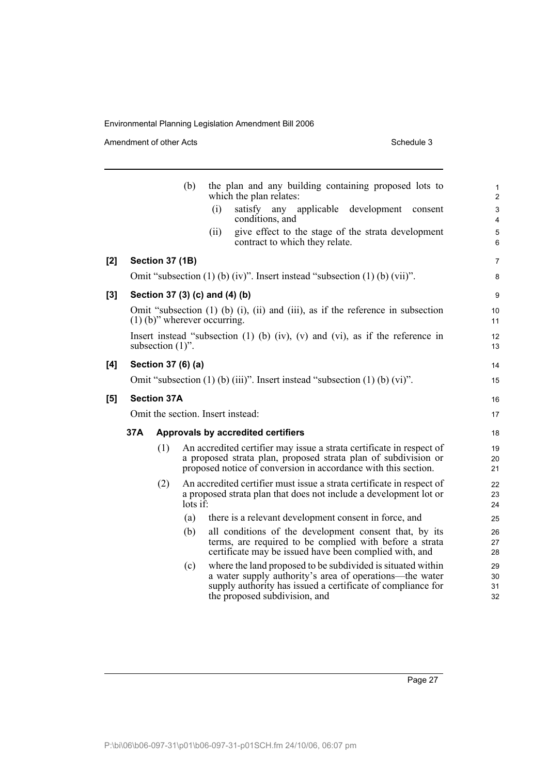Amendment of other Acts Schedule 3

|     |                                           |                        | (b)        | the plan and any building containing proposed lots to<br>which the plan relates:<br>satisfy any applicable<br>development<br>(i)<br>consent<br>conditions, and                                                         | $\mathbf{1}$<br>$\overline{c}$<br>3<br>4 |
|-----|-------------------------------------------|------------------------|------------|------------------------------------------------------------------------------------------------------------------------------------------------------------------------------------------------------------------------|------------------------------------------|
|     |                                           |                        |            | give effect to the stage of the strata development<br>(ii)<br>contract to which they relate.                                                                                                                           | 5<br>6                                   |
| [2] |                                           | <b>Section 37 (1B)</b> |            |                                                                                                                                                                                                                        | 7                                        |
|     |                                           |                        |            | Omit "subsection $(1)$ (b) $(iv)$ ". Insert instead "subsection $(1)$ (b) $(vii)$ ".                                                                                                                                   | 8                                        |
| [3] | Section 37 (3) (c) and (4) (b)            |                        |            |                                                                                                                                                                                                                        | 9                                        |
|     |                                           |                        |            | Omit "subsection $(1)$ $(b)$ $(i)$ , $(ii)$ and $(iii)$ , as if the reference in subsection<br>$(1)$ (b)" wherever occurring.                                                                                          | 10<br>11                                 |
|     |                                           | subsection $(1)$ ".    |            | Insert instead "subsection $(1)$ $(b)$ $(iv)$ , $(v)$ and $(vi)$ , as if the reference in                                                                                                                              | 12<br>13                                 |
| [4] |                                           | Section 37 (6) (a)     |            |                                                                                                                                                                                                                        | 14                                       |
|     |                                           |                        |            | Omit "subsection $(1)$ (b) $(iii)$ ". Insert instead "subsection $(1)$ (b) $(vi)$ ".                                                                                                                                   | 15                                       |
| [5] |                                           | <b>Section 37A</b>     |            |                                                                                                                                                                                                                        | 16                                       |
|     |                                           |                        |            | Omit the section. Insert instead:                                                                                                                                                                                      | 17                                       |
|     | 37A<br>Approvals by accredited certifiers |                        |            |                                                                                                                                                                                                                        | 18                                       |
|     |                                           | (1)                    |            | An accredited certifier may issue a strata certificate in respect of<br>a proposed strata plan, proposed strata plan of subdivision or<br>proposed notice of conversion in accordance with this section.               | 19<br>20<br>21                           |
|     |                                           | (2)                    | $\log i$ : | An accredited certifier must issue a strata certificate in respect of<br>a proposed strata plan that does not include a development lot or                                                                             | 22<br>23<br>24                           |
|     |                                           |                        | (a)        | there is a relevant development consent in force, and                                                                                                                                                                  | 25                                       |
|     |                                           |                        | (b)        | all conditions of the development consent that, by its<br>terms, are required to be complied with before a strata<br>certificate may be issued have been complied with, and                                            | 26<br>27<br>28                           |
|     |                                           |                        | (c)        | where the land proposed to be subdivided is situated within<br>a water supply authority's area of operations—the water<br>supply authority has issued a certificate of compliance for<br>the proposed subdivision, and | 29<br>30<br>31<br>32                     |
|     |                                           |                        |            |                                                                                                                                                                                                                        |                                          |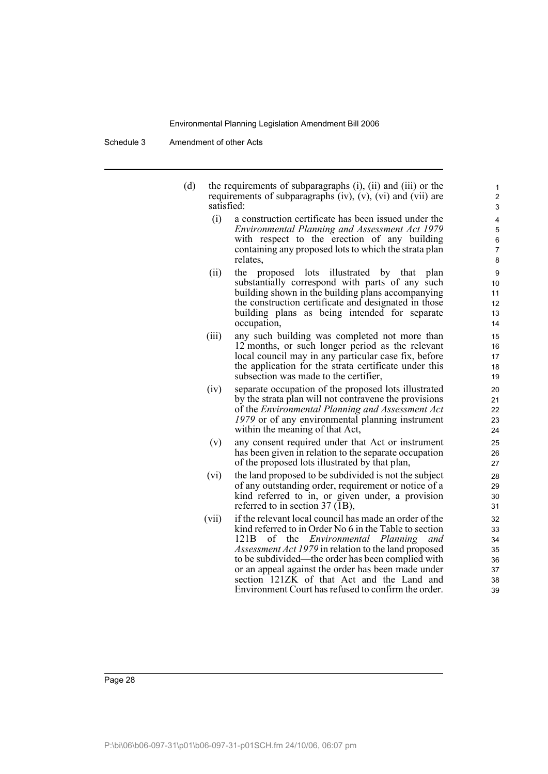Schedule 3 Amendment of other Acts

- (d) the requirements of subparagraphs (i), (ii) and (iii) or the requirements of subparagraphs  $(iv)$ ,  $(v)$ ,  $(vi)$  and  $(vii)$  are satisfied:
	- (i) a construction certificate has been issued under the *Environmental Planning and Assessment Act 1979* with respect to the erection of any building containing any proposed lots to which the strata plan relates,

- (ii) the proposed lots illustrated by that plan substantially correspond with parts of any such building shown in the building plans accompanying the construction certificate and designated in those building plans as being intended for separate occupation,
- (iii) any such building was completed not more than 12 months, or such longer period as the relevant local council may in any particular case fix, before the application for the strata certificate under this subsection was made to the certifier,
- (iv) separate occupation of the proposed lots illustrated by the strata plan will not contravene the provisions of the *Environmental Planning and Assessment Act 1979* or of any environmental planning instrument within the meaning of that Act,
- (v) any consent required under that Act or instrument has been given in relation to the separate occupation of the proposed lots illustrated by that plan,
- (vi) the land proposed to be subdivided is not the subject of any outstanding order, requirement or notice of a kind referred to in, or given under, a provision referred to in section 37 (1B),
- (vii) if the relevant local council has made an order of the kind referred to in Order No 6 in the Table to section 121B of the *Environmental Planning and Assessment Act 1979* in relation to the land proposed to be subdivided—the order has been complied with or an appeal against the order has been made under section 121ZK of that Act and the Land and Environment Court has refused to confirm the order.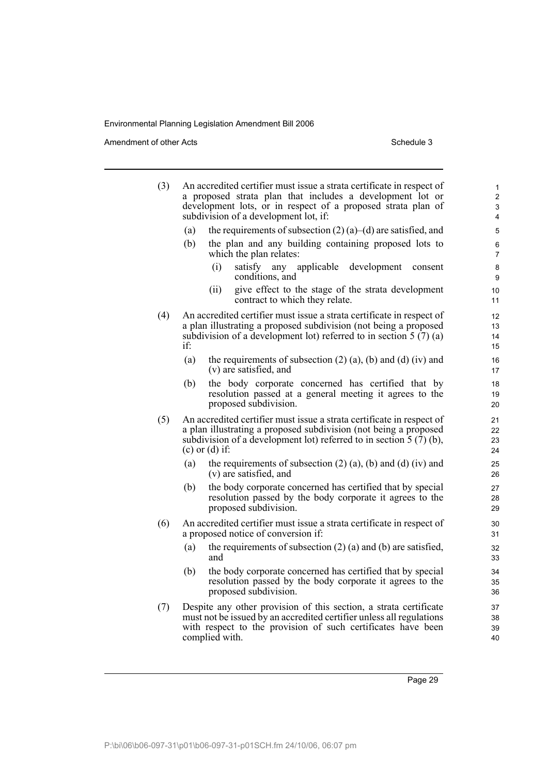Amendment of other Acts Schedule 3

| (3) |                                                                                                              | An accredited certifier must issue a strata certificate in respect of<br>a proposed strata plan that includes a development lot or<br>development lots, or in respect of a proposed strata plan of                                                                 | 1<br>$\overline{2}$<br>$\ensuremath{\mathsf{3}}$ |
|-----|--------------------------------------------------------------------------------------------------------------|--------------------------------------------------------------------------------------------------------------------------------------------------------------------------------------------------------------------------------------------------------------------|--------------------------------------------------|
|     |                                                                                                              | subdivision of a development lot, if:                                                                                                                                                                                                                              | 4                                                |
|     | (a)                                                                                                          | the requirements of subsection $(2)$ (a)–(d) are satisfied, and                                                                                                                                                                                                    | 5                                                |
|     | (b)                                                                                                          | the plan and any building containing proposed lots to<br>which the plan relates:                                                                                                                                                                                   | 6<br>7                                           |
|     |                                                                                                              | satisfy<br>applicable<br>development<br>(i)<br>any<br>consent<br>conditions, and                                                                                                                                                                                   | 8<br>9                                           |
|     |                                                                                                              | give effect to the stage of the strata development<br>(ii)<br>contract to which they relate.                                                                                                                                                                       | 10<br>11                                         |
| (4) | if                                                                                                           | An accredited certifier must issue a strata certificate in respect of<br>a plan illustrating a proposed subdivision (not being a proposed<br>subdivision of a development lot) referred to in section $5(7)(a)$                                                    | 12<br>13<br>14<br>15                             |
|     | (a)                                                                                                          | the requirements of subsection $(2)$ $(a)$ , $(b)$ and $(d)$ $(iv)$ and<br>(v) are satisfied, and                                                                                                                                                                  | 16<br>17                                         |
|     | (b)                                                                                                          | the body corporate concerned has certified that by<br>resolution passed at a general meeting it agrees to the<br>proposed subdivision.                                                                                                                             | 18<br>19<br>20                                   |
| (5) |                                                                                                              | An accredited certifier must issue a strata certificate in respect of<br>a plan illustrating a proposed subdivision (not being a proposed<br>subdivision of a development lot) referred to in section $\overline{5}$ ( $\overline{7}$ ) (b),<br>$(c)$ or $(d)$ if: | 21<br>22<br>23<br>24                             |
|     | (a)                                                                                                          | the requirements of subsection $(2)$ $(a)$ , $(b)$ and $(d)$ $(iv)$ and<br>(v) are satisfied, and                                                                                                                                                                  | 25<br>26                                         |
|     | (b)                                                                                                          | the body corporate concerned has certified that by special<br>resolution passed by the body corporate it agrees to the<br>proposed subdivision.                                                                                                                    | 27<br>28<br>29                                   |
| (6) | An accredited certifier must issue a strata certificate in respect of<br>a proposed notice of conversion if: |                                                                                                                                                                                                                                                                    |                                                  |
|     | (a)                                                                                                          | the requirements of subsection $(2)$ (a) and (b) are satisfied,<br>and                                                                                                                                                                                             | 32<br>33                                         |
|     | (b)                                                                                                          | the body corporate concerned has certified that by special<br>resolution passed by the body corporate it agrees to the<br>proposed subdivision.                                                                                                                    | 34<br>35<br>36                                   |
| (7) |                                                                                                              | Despite any other provision of this section, a strata certificate<br>must not be issued by an accredited certifier unless all regulations<br>with respect to the provision of such certificates have been<br>complied with.                                        | 37<br>38<br>39<br>40                             |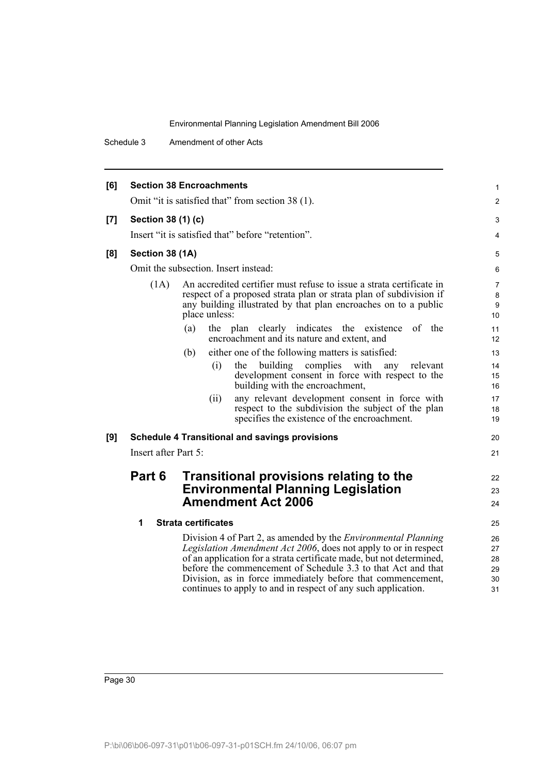Schedule 3 Amendment of other Acts

| [6]   |                      | <b>Section 38 Encroachments</b>                                                                                                                                                                                                                                                                                                                                                                                          | 1                                |
|-------|----------------------|--------------------------------------------------------------------------------------------------------------------------------------------------------------------------------------------------------------------------------------------------------------------------------------------------------------------------------------------------------------------------------------------------------------------------|----------------------------------|
|       |                      | Omit "it is satisfied that" from section 38 (1).                                                                                                                                                                                                                                                                                                                                                                         | $\overline{2}$                   |
| $[7]$ | Section 38 (1) (c)   |                                                                                                                                                                                                                                                                                                                                                                                                                          | 3                                |
|       |                      | Insert "it is satisfied that" before "retention".                                                                                                                                                                                                                                                                                                                                                                        | 4                                |
| [8]   | Section 38 (1A)      |                                                                                                                                                                                                                                                                                                                                                                                                                          | 5                                |
|       |                      | Omit the subsection. Insert instead:                                                                                                                                                                                                                                                                                                                                                                                     | 6                                |
|       | (1A)                 | An accredited certifier must refuse to issue a strata certificate in<br>respect of a proposed strata plan or strata plan of subdivision if<br>any building illustrated by that plan encroaches on to a public<br>place unless:                                                                                                                                                                                           | 7<br>8<br>9<br>10 <sup>1</sup>   |
|       |                      | the plan clearly indicates the existence<br>of the<br>(a)<br>encroachment and its nature and extent, and                                                                                                                                                                                                                                                                                                                 | 11<br>12                         |
|       |                      | either one of the following matters is satisfied:<br>(b)                                                                                                                                                                                                                                                                                                                                                                 | 13                               |
|       |                      | complies with<br>building<br>(i)<br>the<br>relevant<br>any<br>development consent in force with respect to the<br>building with the encroachment,                                                                                                                                                                                                                                                                        | 14<br>15<br>16                   |
|       |                      | any relevant development consent in force with<br>(ii)<br>respect to the subdivision the subject of the plan<br>specifies the existence of the encroachment.                                                                                                                                                                                                                                                             | 17<br>18<br>19                   |
| [9]   |                      | <b>Schedule 4 Transitional and savings provisions</b>                                                                                                                                                                                                                                                                                                                                                                    | 20                               |
|       | Insert after Part 5: |                                                                                                                                                                                                                                                                                                                                                                                                                          |                                  |
|       | Part 6               | <b>Transitional provisions relating to the</b>                                                                                                                                                                                                                                                                                                                                                                           | 22                               |
|       |                      | <b>Environmental Planning Legislation</b>                                                                                                                                                                                                                                                                                                                                                                                |                                  |
|       |                      | <b>Amendment Act 2006</b>                                                                                                                                                                                                                                                                                                                                                                                                | 24                               |
|       | 1                    | <b>Strata certificates</b>                                                                                                                                                                                                                                                                                                                                                                                               |                                  |
|       |                      | Division 4 of Part 2, as amended by the <i>Environmental Planning</i><br><i>Legislation Amendment Act 2006</i> , does not apply to or in respect<br>of an application for a strata certificate made, but not determined,<br>before the commencement of Schedule 3.3 to that Act and that<br>Division, as in force immediately before that commencement,<br>continues to apply to and in respect of any such application. | 26<br>27<br>28<br>29<br>30<br>31 |
|       |                      |                                                                                                                                                                                                                                                                                                                                                                                                                          |                                  |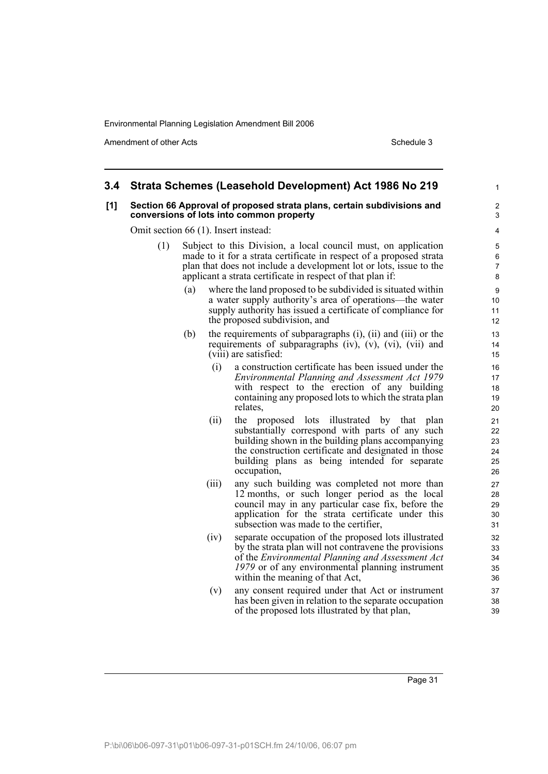Amendment of other Acts **Schedule 3** and the 3 schedule 3

1

## **3.4 Strata Schemes (Leasehold Development) Act 1986 No 219 [1] Section 66 Approval of proposed strata plans, certain subdivisions and conversions of lots into common property** Omit section 66 (1). Insert instead: (1) Subject to this Division, a local council must, on application made to it for a strata certificate in respect of a proposed strata plan that does not include a development lot or lots, issue to the applicant a strata certificate in respect of that plan if: (a) where the land proposed to be subdivided is situated within a water supply authority's area of operations—the water supply authority has issued a certificate of compliance for the proposed subdivision, and (b) the requirements of subparagraphs (i), (ii) and (iii) or the requirements of subparagraphs (iv), (v), (vi), (vii) and (viii) are satisfied: (i) a construction certificate has been issued under the *Environmental Planning and Assessment Act 1979* with respect to the erection of any building containing any proposed lots to which the strata plan relates, (ii) the proposed lots illustrated by that plan substantially correspond with parts of any such building shown in the building plans accompanying the construction certificate and designated in those building plans as being intended for separate occupation,

- (iii) any such building was completed not more than 12 months, or such longer period as the local council may in any particular case fix, before the application for the strata certificate under this subsection was made to the certifier,
- (iv) separate occupation of the proposed lots illustrated by the strata plan will not contravene the provisions of the *Environmental Planning and Assessment Act 1979* or of any environmental planning instrument within the meaning of that Act,
- (v) any consent required under that Act or instrument has been given in relation to the separate occupation of the proposed lots illustrated by that plan,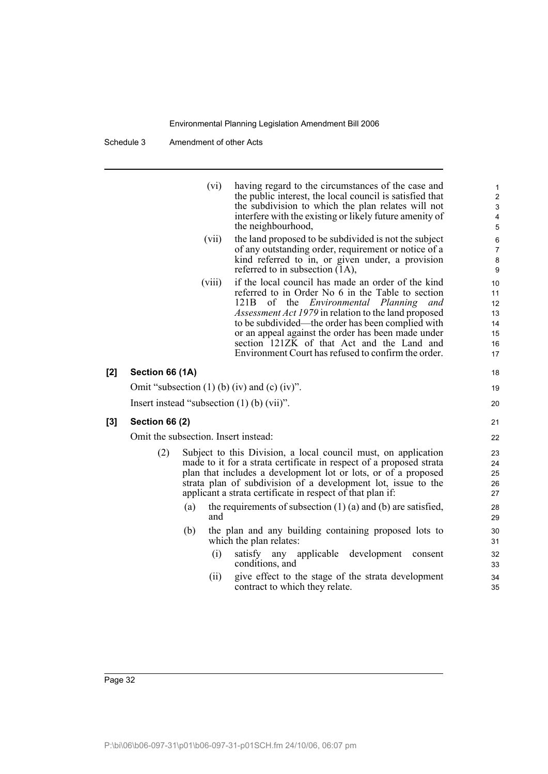Schedule 3 Amendment of other Acts

|     | (vi)<br>(vii)<br>(viii) | having regard to the circumstances of the case and<br>the public interest, the local council is satisfied that<br>the subdivision to which the plan relates will not<br>interfere with the existing or likely future amenity of<br>the neighbourhood,<br>the land proposed to be subdivided is not the subject<br>of any outstanding order, requirement or notice of a<br>kind referred to in, or given under, a provision<br>referred to in subsection $(1A)$ ,<br>if the local council has made an order of the kind<br>referred to in Order No 6 in the Table to section<br>of the <i>Environmental Planning</i><br>121B<br>and<br>Assessment Act 1979 in relation to the land proposed<br>to be subdivided—the order has been complied with<br>or an appeal against the order has been made under<br>section 121ZK of that Act and the Land and | $\mathbf{1}$<br>$\overline{c}$<br>$\mathbf{3}$<br>$\overline{\mathbf{4}}$<br>5<br>6<br>$\overline{7}$<br>8<br>9<br>10<br>11<br>12<br>13<br>14<br>15<br>16                                                                                                                                                                                                                                                                                                                                                                                                                                                                                                                                                |
|-----|-------------------------|-----------------------------------------------------------------------------------------------------------------------------------------------------------------------------------------------------------------------------------------------------------------------------------------------------------------------------------------------------------------------------------------------------------------------------------------------------------------------------------------------------------------------------------------------------------------------------------------------------------------------------------------------------------------------------------------------------------------------------------------------------------------------------------------------------------------------------------------------------|----------------------------------------------------------------------------------------------------------------------------------------------------------------------------------------------------------------------------------------------------------------------------------------------------------------------------------------------------------------------------------------------------------------------------------------------------------------------------------------------------------------------------------------------------------------------------------------------------------------------------------------------------------------------------------------------------------|
|     |                         |                                                                                                                                                                                                                                                                                                                                                                                                                                                                                                                                                                                                                                                                                                                                                                                                                                                     | 17                                                                                                                                                                                                                                                                                                                                                                                                                                                                                                                                                                                                                                                                                                       |
|     |                         |                                                                                                                                                                                                                                                                                                                                                                                                                                                                                                                                                                                                                                                                                                                                                                                                                                                     | 18                                                                                                                                                                                                                                                                                                                                                                                                                                                                                                                                                                                                                                                                                                       |
|     |                         |                                                                                                                                                                                                                                                                                                                                                                                                                                                                                                                                                                                                                                                                                                                                                                                                                                                     | 19                                                                                                                                                                                                                                                                                                                                                                                                                                                                                                                                                                                                                                                                                                       |
|     |                         |                                                                                                                                                                                                                                                                                                                                                                                                                                                                                                                                                                                                                                                                                                                                                                                                                                                     | 20                                                                                                                                                                                                                                                                                                                                                                                                                                                                                                                                                                                                                                                                                                       |
|     |                         |                                                                                                                                                                                                                                                                                                                                                                                                                                                                                                                                                                                                                                                                                                                                                                                                                                                     | 21                                                                                                                                                                                                                                                                                                                                                                                                                                                                                                                                                                                                                                                                                                       |
|     |                         |                                                                                                                                                                                                                                                                                                                                                                                                                                                                                                                                                                                                                                                                                                                                                                                                                                                     | 22                                                                                                                                                                                                                                                                                                                                                                                                                                                                                                                                                                                                                                                                                                       |
| (2) |                         |                                                                                                                                                                                                                                                                                                                                                                                                                                                                                                                                                                                                                                                                                                                                                                                                                                                     | 23<br>24<br>25<br>26<br>27                                                                                                                                                                                                                                                                                                                                                                                                                                                                                                                                                                                                                                                                               |
|     | (a)<br>and              |                                                                                                                                                                                                                                                                                                                                                                                                                                                                                                                                                                                                                                                                                                                                                                                                                                                     | 28<br>29                                                                                                                                                                                                                                                                                                                                                                                                                                                                                                                                                                                                                                                                                                 |
|     |                         |                                                                                                                                                                                                                                                                                                                                                                                                                                                                                                                                                                                                                                                                                                                                                                                                                                                     | 30<br>31                                                                                                                                                                                                                                                                                                                                                                                                                                                                                                                                                                                                                                                                                                 |
|     | (i)                     | satisfy any applicable<br>development<br>consent<br>conditions, and                                                                                                                                                                                                                                                                                                                                                                                                                                                                                                                                                                                                                                                                                                                                                                                 | 32<br>33                                                                                                                                                                                                                                                                                                                                                                                                                                                                                                                                                                                                                                                                                                 |
|     | (i)                     | give effect to the stage of the strata development<br>contract to which they relate.                                                                                                                                                                                                                                                                                                                                                                                                                                                                                                                                                                                                                                                                                                                                                                | 34<br>35                                                                                                                                                                                                                                                                                                                                                                                                                                                                                                                                                                                                                                                                                                 |
|     |                         | Section 66 (1A)<br><b>Section 66 (2)</b><br>(b)                                                                                                                                                                                                                                                                                                                                                                                                                                                                                                                                                                                                                                                                                                                                                                                                     | Environment Court has refused to confirm the order.<br>Omit "subsection $(1)$ (b) $(iv)$ and $(c)$ $(iv)$ ".<br>Insert instead "subsection $(1)$ (b) $(vii)$ ".<br>Omit the subsection. Insert instead:<br>Subject to this Division, a local council must, on application<br>made to it for a strata certificate in respect of a proposed strata<br>plan that includes a development lot or lots, or of a proposed<br>strata plan of subdivision of a development lot, issue to the<br>applicant a strata certificate in respect of that plan if:<br>the requirements of subsection $(1)$ (a) and (b) are satisfied,<br>the plan and any building containing proposed lots to<br>which the plan relates: |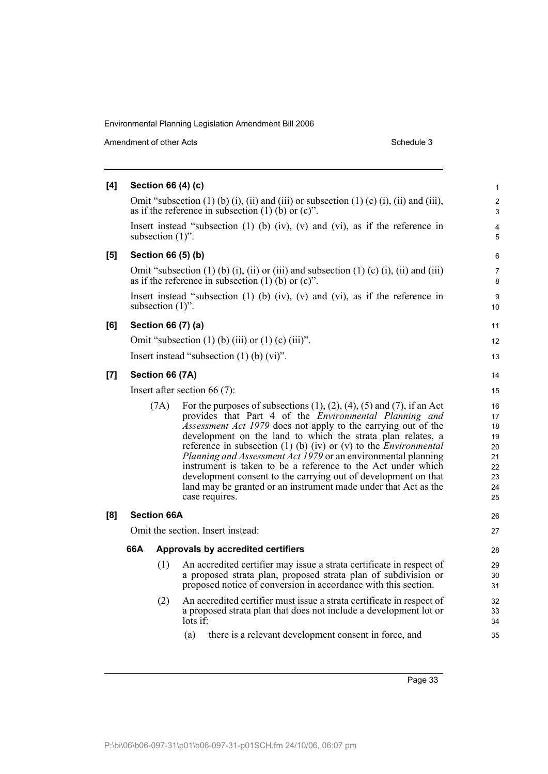Amendment of other Acts **Schedule 3** and the 3 schedule 3

#### **[4] Section 66 (4) (c)** Omit "subsection  $(1)$  (b)  $(i)$ ,  $(ii)$  and  $(iii)$  or subsection  $(1)$  (c)  $(i)$ ,  $(ii)$  and  $(iii)$ , as if the reference in subsection  $(1)$  (b) or  $(c)$ ". Insert instead "subsection (1) (b) (iv), (v) and (vi), as if the reference in subsection  $(1)$ ". **[5] Section 66 (5) (b)** Omit "subsection  $(1)$  (b)  $(i)$ ,  $(ii)$  or  $(iii)$  and subsection  $(1)$  (c)  $(i)$ ,  $(ii)$  and  $(iii)$ as if the reference in subsection  $(1)$  (b) or  $(c)$ ". Insert instead "subsection (1) (b) (iv), (v) and (vi), as if the reference in subsection  $(1)$ ". **[6] Section 66 (7) (a)** Omit "subsection  $(1)$  (b) (iii) or  $(1)$  (c) (iii)". Insert instead "subsection (1) (b) (vi)". **[7] Section 66 (7A)** Insert after section 66 (7): (7A) For the purposes of subsections  $(1)$ ,  $(2)$ ,  $(4)$ ,  $(5)$  and  $(7)$ , if an Act provides that Part 4 of the *Environmental Planning and Assessment Act 1979* does not apply to the carrying out of the development on the land to which the strata plan relates, a reference in subsection (1) (b) (iv) or (v) to the *Environmental Planning and Assessment Act 1979* or an environmental planning instrument is taken to be a reference to the Act under which development consent to the carrying out of development on that land may be granted or an instrument made under that Act as the case requires. **[8] Section 66A** Omit the section. Insert instead: **66A Approvals by accredited certifiers** (1) An accredited certifier may issue a strata certificate in respect of a proposed strata plan, proposed strata plan of subdivision or proposed notice of conversion in accordance with this section. (2) An accredited certifier must issue a strata certificate in respect of a proposed strata plan that does not include a development lot or lots if: (a) there is a relevant development consent in force, and 1 2 3 4 5 6 7 8 9 10 11 12 13 14 15 16 17 18 19 20 21 22 23 24 25 26 27 28 29 30 31 32 33 34 35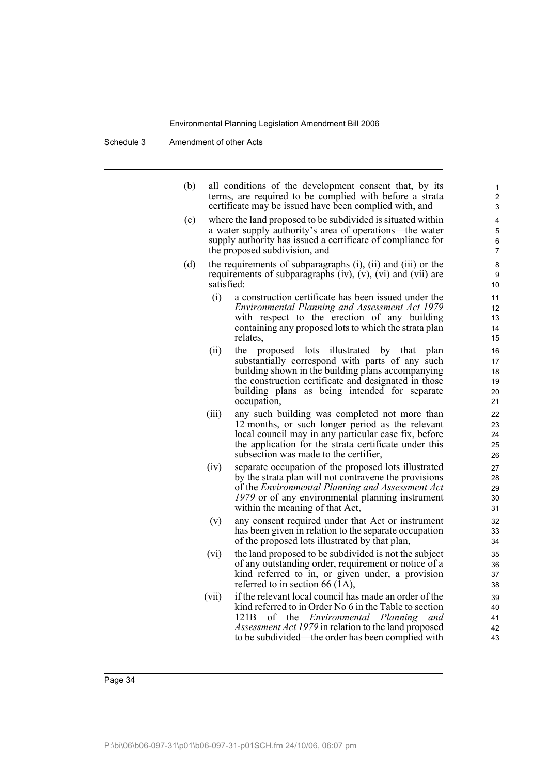(b) all conditions of the development consent that, by its terms, are required to be complied with before a strata certificate may be issued have been complied with, and (c) where the land proposed to be subdivided is situated within a water supply authority's area of operations—the water supply authority has issued a certificate of compliance for the proposed subdivision, and (d) the requirements of subparagraphs (i), (ii) and (iii) or the requirements of subparagraphs  $(iv)$ ,  $(v)$ ,  $(vi)$  and  $(vii)$  are satisfied: (i) a construction certificate has been issued under the *Environmental Planning and Assessment Act 1979* with respect to the erection of any building containing any proposed lots to which the strata plan relates, (ii) the proposed lots illustrated by that plan substantially correspond with parts of any such building shown in the building plans accompanying the construction certificate and designated in those building plans as being intended for separate occupation, (iii) any such building was completed not more than 12 months, or such longer period as the relevant local council may in any particular case fix, before the application for the strata certificate under this subsection was made to the certifier, (iv) separate occupation of the proposed lots illustrated by the strata plan will not contravene the provisions of the *Environmental Planning and Assessment Act 1979* or of any environmental planning instrument within the meaning of that Act, (v) any consent required under that Act or instrument has been given in relation to the separate occupation of the proposed lots illustrated by that plan, (vi) the land proposed to be subdivided is not the subject of any outstanding order, requirement or notice of a kind referred to in, or given under, a provision referred to in section 66 ( $1$ A), (vii) if the relevant local council has made an order of the kind referred to in Order No 6 in the Table to section 121B of the *Environmental Planning and Assessment Act 1979* in relation to the land proposed to be subdivided—the order has been complied with 1 2 3 4 5 6 7 8  $\alpha$ 10 11 12 13 14 15 16 17 18 19 20 21  $22$ 23  $24$ 25 26 27 28 29 30 31 32 33 34 35 36 37 38 39 40 41 42 43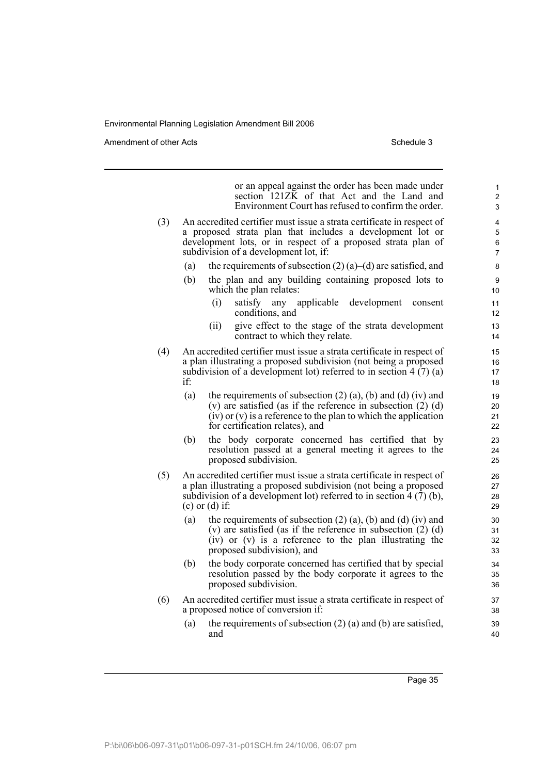Amendment of other Acts **Schedule 3** and the 3 schedule 3

or an appeal against the order has been made under section 121ZK of that Act and the Land and Environment Court has refused to confirm the order. (3) An accredited certifier must issue a strata certificate in respect of a proposed strata plan that includes a development lot or development lots, or in respect of a proposed strata plan of subdivision of a development lot, if: (a) the requirements of subsection  $(2)$  (a)–(d) are satisfied, and (b) the plan and any building containing proposed lots to which the plan relates: (i) satisfy any applicable development consent conditions, and (ii) give effect to the stage of the strata development contract to which they relate. (4) An accredited certifier must issue a strata certificate in respect of a plan illustrating a proposed subdivision (not being a proposed subdivision of a development lot) referred to in section  $4(7)(a)$ if: (a) the requirements of subsection  $(2)$   $(a)$ ,  $(b)$  and  $(d)$   $(iv)$  and (v) are satisfied (as if the reference in subsection (2) (d) (iv) or (v) is a reference to the plan to which the application for certification relates), and (b) the body corporate concerned has certified that by resolution passed at a general meeting it agrees to the proposed subdivision. (5) An accredited certifier must issue a strata certificate in respect of a plan illustrating a proposed subdivision (not being a proposed subdivision of a development lot) referred to in section 4 (7) (b),  $(c)$  or  $(d)$  if: (a) the requirements of subsection  $(2)$  (a), (b) and (d) (iv) and (v) are satisfied (as if the reference in subsection (2) (d) (iv) or (v) is a reference to the plan illustrating the proposed subdivision), and (b) the body corporate concerned has certified that by special resolution passed by the body corporate it agrees to the proposed subdivision. (6) An accredited certifier must issue a strata certificate in respect of a proposed notice of conversion if: (a) the requirements of subsection  $(2)$  (a) and (b) are satisfied, and 1 2 3 4 5 6 7 8 9 10 11 12 13 14 15 16 17 18 19  $20$ 21 22  $23$  $24$ 25 26 27 28 29 30 31 32 33 34 35 36 37 38 39  $40$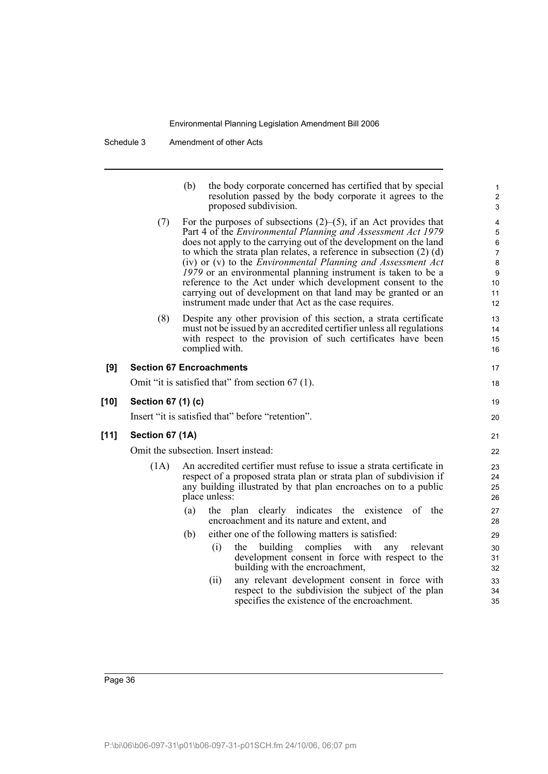|     |                                      | (b)<br>the body corporate concerned has certified that by special<br>resolution passed by the body corporate it agrees to the<br>proposed subdivision.                                                                                                                                                                                                                                                                                                                                                                                                                                                                             | 1<br>$\overline{\mathbf{c}}$<br>3                                   |  |  |
|-----|--------------------------------------|------------------------------------------------------------------------------------------------------------------------------------------------------------------------------------------------------------------------------------------------------------------------------------------------------------------------------------------------------------------------------------------------------------------------------------------------------------------------------------------------------------------------------------------------------------------------------------------------------------------------------------|---------------------------------------------------------------------|--|--|
|     | (7)                                  | For the purposes of subsections $(2)$ – $(5)$ , if an Act provides that<br>Part 4 of the <i>Environmental Planning and Assessment Act 1979</i><br>does not apply to the carrying out of the development on the land<br>to which the strata plan relates, a reference in subsection $(2)$ $(d)$<br>$(iv)$ or $(v)$ to the <i>Environmental Planning and Assessment Act</i><br>1979 or an environmental planning instrument is taken to be a<br>reference to the Act under which development consent to the<br>carrying out of development on that land may be granted or an<br>instrument made under that Act as the case requires. | 4<br>5<br>$\,6$<br>$\overline{7}$<br>$\bf 8$<br>9<br>10<br>11<br>12 |  |  |
|     | (8)                                  | Despite any other provision of this section, a strata certificate<br>must not be issued by an accredited certifier unless all regulations<br>with respect to the provision of such certificates have been<br>complied with.                                                                                                                                                                                                                                                                                                                                                                                                        | 13<br>14<br>15<br>16                                                |  |  |
| [9] |                                      | <b>Section 67 Encroachments</b>                                                                                                                                                                                                                                                                                                                                                                                                                                                                                                                                                                                                    | 17                                                                  |  |  |
|     |                                      | Omit "it is satisfied that" from section 67 (1).                                                                                                                                                                                                                                                                                                                                                                                                                                                                                                                                                                                   | 18                                                                  |  |  |
| 10] | Section 67 (1) (c)                   |                                                                                                                                                                                                                                                                                                                                                                                                                                                                                                                                                                                                                                    | 19                                                                  |  |  |
|     |                                      | Insert "it is satisfied that" before "retention".                                                                                                                                                                                                                                                                                                                                                                                                                                                                                                                                                                                  | 20                                                                  |  |  |
| 11] | Section 67 (1A)                      |                                                                                                                                                                                                                                                                                                                                                                                                                                                                                                                                                                                                                                    | 21                                                                  |  |  |
|     | Omit the subsection. Insert instead: |                                                                                                                                                                                                                                                                                                                                                                                                                                                                                                                                                                                                                                    |                                                                     |  |  |
|     | (1A)                                 | An accredited certifier must refuse to issue a strata certificate in<br>respect of a proposed strata plan or strata plan of subdivision if<br>any building illustrated by that plan encroaches on to a public<br>place unless:                                                                                                                                                                                                                                                                                                                                                                                                     | 23<br>24<br>25<br>26                                                |  |  |
|     |                                      | (a)<br>the plan<br>clearly indicates the existence<br>of the<br>encroachment and its nature and extent, and                                                                                                                                                                                                                                                                                                                                                                                                                                                                                                                        | 27<br>28                                                            |  |  |
|     |                                      | either one of the following matters is satisfied:<br>(b)                                                                                                                                                                                                                                                                                                                                                                                                                                                                                                                                                                           | 29                                                                  |  |  |
|     |                                      | complies with<br>(i)<br>building<br>relevant<br>the<br>any<br>development consent in force with respect to the<br>building with the encroachment,                                                                                                                                                                                                                                                                                                                                                                                                                                                                                  | 30<br>31<br>32                                                      |  |  |
|     |                                      | any relevant development consent in force with<br>(ii)<br>respect to the subdivision the subject of the plan<br>specifies the existence of the encroachment.                                                                                                                                                                                                                                                                                                                                                                                                                                                                       | 33<br>34<br>35                                                      |  |  |
|     |                                      |                                                                                                                                                                                                                                                                                                                                                                                                                                                                                                                                                                                                                                    |                                                                     |  |  |

 $[10]$ 

 $[11]$